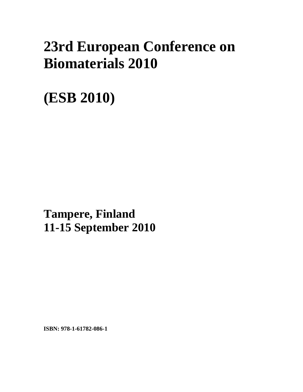## **23rd European Conference on Biomaterials 2010**

## **(ESB 2010)**

**xxx Tampere, Finland 11-15 September 2010** 

**ISBN: 978-1-61782-086-1**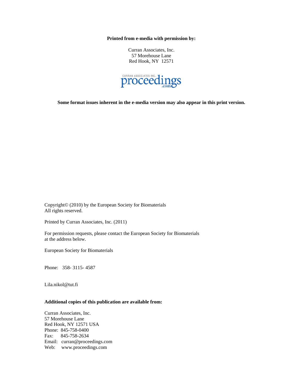**Printed from e-media with permission by:** 

Curran Associates, Inc. 57 Morehouse Lane Red Hook, NY 12571



**Some format issues inherent in the e-media version may also appear in this print version.** 

Copyright© (2010) by the European Society for Biomaterials All rights reserved.

Printed by Curran Associates, Inc. (2011)

For permission requests, please contact the European Society for Biomaterials at the address below.

European Society for Biomaterials

Phone: 358- 3115- 4587

Lila.nikol@tut.fi

## **Additional copies of this publication are available from:**

Curran Associates, Inc. 57 Morehouse Lane Red Hook, NY 12571 USA Phone: 845-758-0400 Fax: 845-758-2634 Email: curran@proceedings.com Web: www.proceedings.com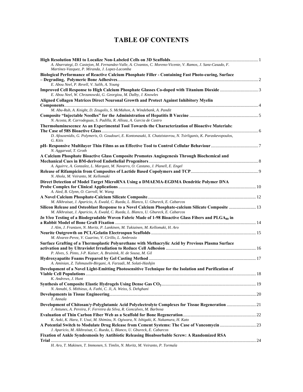## **TABLE OF CONTENTS**

| A. Abarrategi, D. Castejon, M. Fernandez-Valle, A. Civantos, C. Moreno-Vicente, V. Ramos, J. Sanz-Casado, F.                                                                              |  |
|-------------------------------------------------------------------------------------------------------------------------------------------------------------------------------------------|--|
| Martínez-Vazquez, P. Miranda, J. Lopez-Lacomba                                                                                                                                            |  |
| Biological Performance of Reactive Calcium Phosphate Filler - Containing Fast Photo-curing, Surface                                                                                       |  |
| E. Abou Neel, P. Revell, V. Salih, A. Young                                                                                                                                               |  |
| E. Abou Neel, W. Chrzanowski, G. Georgiou, M. Dalby, J. Knowles                                                                                                                           |  |
| Aligned Collagen Matrices Direct Neuronal Growth and Protect Against Inhibitory Myelin                                                                                                    |  |
|                                                                                                                                                                                           |  |
| M. Abu-Rub, A. Knight, D. Zeugolis, S. McMahon, A. Windebank, A. Pandit                                                                                                                   |  |
|                                                                                                                                                                                           |  |
| N. Acosta, R. Carrodeguas, S. Padilla, R. Alloza, A. Garcia de Castro                                                                                                                     |  |
| Thermoluminescence As an Experimental Tool Towards the Characterization of Bioactive Materials:                                                                                           |  |
| D. Afouxenidis, G. Polymeris, O. Goudouri, E. Kontonasaki, X. Chatzistavrou, N. Tsirliganis, K. Paraskevopoulos,<br>G. Kitis                                                              |  |
| N. Aggarwal, T. Groth                                                                                                                                                                     |  |
| A Calcium Phosphate Bioactive Glass Composite Promotes Angiogenesis Through Biochemical and                                                                                               |  |
| A. Aguirre, A. Gonzalez, L. Marquez, M. Navarro, O. Castano, J. Planell, E. Engel                                                                                                         |  |
| N. Ahola, M. Veiranto, M. Kellomaki                                                                                                                                                       |  |
| Direct Detection of Model Target MicroRNA Using a DMAEMA-EGDMA Dendritic Polymer DNA                                                                                                      |  |
| A. Aied, B. Glynn, O. Carroll, W. Wang                                                                                                                                                    |  |
|                                                                                                                                                                                           |  |
| M. Alkhraisat, J. Aparicio, A. Ewald, C. Rueda, L. Blanco, U. Gbureck, E. Cabarcos                                                                                                        |  |
| Silicon Release and Osteoblast Response to a Novel Calcium Phosphate-calcium Silicate Composite  13<br>M. Alkhraisat, J. Aparicio, A. Ewald, C. Rueda, L. Blanco, U. Gbureck, E. Cabarcos |  |
| In Vivo Testing of a Biodegradable Woven Fabric Made of 1-98 Bioactive Glass Fibers and PLGA <sub>80</sub> in                                                                             |  |
|                                                                                                                                                                                           |  |
| J. Alm, J. Frantzen, N. Moritz, P. Lankinen, M. Tukiainen, M. Kellomaki, H. Aro                                                                                                           |  |
| M. Alvarez-Perez, V. Guarino, V. Cirillo, L. Ambrosio                                                                                                                                     |  |
| Surface Grafting of a Thermoplastic Polyurethane with Methacrylic Acid by Previous Plasma Surface                                                                                         |  |
| P. Alves, S. Pinto, J-P. Kaiser, A. Bruinink, H. de Sousa, M. Gil                                                                                                                         |  |
|                                                                                                                                                                                           |  |
| A. Aminian, Z. Tahmasebi-Birgani, A. Farzadi, M. Solati-Hashjin                                                                                                                           |  |
| Development of a Novel Light-Emitting Photosensitive Technique for the Isolation and Purification of                                                                                      |  |
| K. Andrews, J. Hunt                                                                                                                                                                       |  |
|                                                                                                                                                                                           |  |
| N. Annabi, S. Mithieux, A. Fathi, C. Ji, A. Weiss, S. Dehghani                                                                                                                            |  |
| T. Annala                                                                                                                                                                                 |  |
| Development of Chitosan/y-Polyglutamic Acid Polyelectrolyte Complexes for Tissue Regeneration  21<br>J. Antunes, A. Pereira, F. Ferreira da Silva, R. Goncalves, M. Barbosa               |  |
|                                                                                                                                                                                           |  |
| K. Aoki, K. Hara, Y. Usui, M. Shimizu, N. Ogiwara, N. Ishigaki, K. Nakamura, H. Kato                                                                                                      |  |
| J. Aparicio, M. Alkhraisat, C. Rueda, L. Blanco, U. Gbureck, E. Cabarcos                                                                                                                  |  |
| Fixation of Ankle Syndesmosis by Antibiotic Releasing Bioabsorbable Screw: A Randomized RSA                                                                                               |  |
|                                                                                                                                                                                           |  |

*H. Aro, T. Makinen, T. Immonen, S. Timlin, N. Moritz, M. Veiranto, P. Tormala*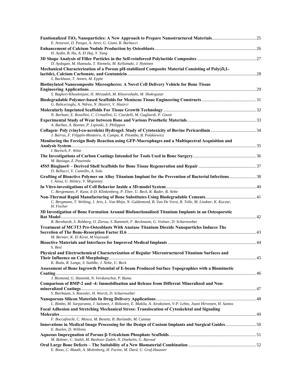| E. Arturoni, D. Pasqui, A. Atrei, G. Giani, R. Barbucci                                                                                                                                                           |  |
|-------------------------------------------------------------------------------------------------------------------------------------------------------------------------------------------------------------------|--|
|                                                                                                                                                                                                                   |  |
| H. Aydin, B. Hu, A. El Haj, Y. Yang                                                                                                                                                                               |  |
| D. Aydogan, M. Hannula, T. Niemela, M. Kellomaki, J. Hyttinen                                                                                                                                                     |  |
| Mechanical Characterization of a Porous pH-stabilized Composite Material Consisting of Poly(D,L-                                                                                                                  |  |
| S. Backhaus, T. Annen, M. Epple                                                                                                                                                                                   |  |
| Biotinylated Nanocomposite Microspheres: A Novel Cell Delivery Vehicle for Bone Tissue                                                                                                                            |  |
| S. Bagheri-Khoulenjani, H. Mirzadeh, M. Khosroshahi, M. Shokrgozar                                                                                                                                                |  |
| G. Bahcecioglu, A. Ndreu, N. Hasirci, V. Hasirci                                                                                                                                                                  |  |
|                                                                                                                                                                                                                   |  |
| N. Barbani, E. Rosellini, C. Cristallini, G. Ciardelli, M. Gagliardi, P. Giusti<br>A. Barbas, A. Bonnet, P. Lipinski, S. Philippon                                                                                |  |
| J. Barros, F. Filippin-Monteiro, A. Campa, R. Pitombo, B. Polakiewicz                                                                                                                                             |  |
| Monitoring the Foreign Body Reaction using GFP-Macrophages and a Multispectral Acquisition and                                                                                                                    |  |
| I. Bartsch, F. Witte                                                                                                                                                                                              |  |
| M. Basiaga, Z. Paszenda                                                                                                                                                                                           |  |
| D. Bellucci, V. Cannillo, A. Sola                                                                                                                                                                                 |  |
| Grafting of Bioactive Polymer on Alloy Titanium Implant for the Prevention of Bacterial Infections 38<br>I. Aissa, G. Helary, V. Migonney                                                                         |  |
|                                                                                                                                                                                                                   |  |
| C. Bergemann, F. Kunz, E-D. Klinkenberg, P. Elter, U. Beck, R. Bader, B. Nebe                                                                                                                                     |  |
| C. Bergmann, T. Welting, J. Arts, L. Van Rhijn, N. Guldemond, B. Van De Vorst, R. Telle, M. Lindner, K. Koczur,<br>H. Fischer                                                                                     |  |
| 3D Investigation of Bone Formation Around Biofunctionalised Titanium Implants in an Osteoporotic                                                                                                                  |  |
| R. Bernhardt, S. Rehberg, O. Zierau, S. Rammelt, F. Beckmann, G. Volmer, D. Scharnweber                                                                                                                           |  |
| Treatment of MC3T3 Pre-Osteoblasts With Anatase Titanium Dioxide Nanoparticles Induces The                                                                                                                        |  |
|                                                                                                                                                                                                                   |  |
| M. Bernier, K. El Kirat, M. Vayssade                                                                                                                                                                              |  |
| S. Best                                                                                                                                                                                                           |  |
| Physical and Electrochemical Characterization of Regular Microstructured Titanium Surfaces and                                                                                                                    |  |
|                                                                                                                                                                                                                   |  |
| K. Biala, R. Lange, S. Stahlke, J. Nebe, U. Beck                                                                                                                                                                  |  |
| Assessment of Bone Ingrowth Potential of E-beam Produced Surface Topographies with a Biomimetic                                                                                                                   |  |
|                                                                                                                                                                                                                   |  |
| J. Biemond, G. Hannink, N. Verdonschot, P. Buma                                                                                                                                                                   |  |
| Comparison of BMP-2 and -4: Immobilisation and Release from Different Mineralized and Non-<br>S. Bierbaum, S. Roessler, H. Worch, D. Scharnweber                                                                  |  |
|                                                                                                                                                                                                                   |  |
| L. Bimbo, M. Sarparanta, J. Salonen, J. Riikonen, E. Makila, A. Airaksinen, V-P. Lehto, Jouni Hirvonen, H. Santos<br>Focal Adhesion and Stretching Mechanical Stress: Translocation of Cytoskeletal and Signaling |  |
|                                                                                                                                                                                                                   |  |
| F. Boccafoschi, C. Mosca, M. Bosetti, B. Burlando, M. Cannas                                                                                                                                                      |  |
| Innovations in Medical Image Processing for the Design of Custom Implants and Surgical Guides50<br>E. Boelen, D. Willems                                                                                          |  |
| M. Bohner, C. Stahli, M. Bashoor-Zadeh, N. Doebelin, G. Baroud                                                                                                                                                    |  |
| E. Bono, C. Mauth, A. Molenberg, H. Farine, M. Dard, U. Graf-Hausner                                                                                                                                              |  |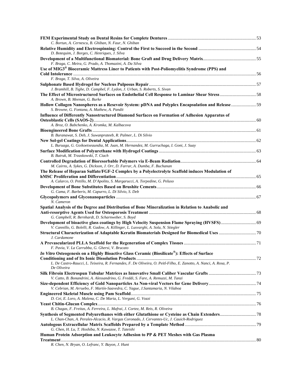| C. Bortun, A. Cernescu, B. Ghiban, N. Faur, N. Ghiban                                                                                                                                |  |
|--------------------------------------------------------------------------------------------------------------------------------------------------------------------------------------|--|
|                                                                                                                                                                                      |  |
| D. Botequim, J. Borges, C. Henriques, J. Silva                                                                                                                                       |  |
| F. Braga, C. Meira, G. Prado, A. Thomazini, A. Da Silva                                                                                                                              |  |
| Use of MIG3 <sup>®</sup> Bioceramic Mattress Liner to Patients with Post-Poliomyelitis Syndrome (PPS) and                                                                            |  |
|                                                                                                                                                                                      |  |
| F. Braga, T. Silva, A. Oliveira                                                                                                                                                      |  |
|                                                                                                                                                                                      |  |
| J. Bramhill, B. Tighe, D. Campbel, F. Lydon, J. Urban, S. Roberts, S. Sivan<br>The Effect of Microstructured Surfaces on Endothelial Cell Response to Laminar Shear Stress 58        |  |
| A. Brown, B. Meenan, G. Burke                                                                                                                                                        |  |
| Hollow Collagen Nanospheres as a Resevoir System: pDNA and Polyplex Encapsulation and Release 59<br>S. Browne, G. Fontana, A. Mathew, A. Pandit                                      |  |
| Influence of Differently Nanostructured Diamond Surfaces on Formation of Adhesion Apparatus of                                                                                       |  |
| A. Broz, O. Babchenko, A. Kromka, M. Kalbacova                                                                                                                                       |  |
|                                                                                                                                                                                      |  |
| B. Buranawat, S. Deb, J. Suwanprateeb, R. Palmer, L. Di Silvio                                                                                                                       |  |
|                                                                                                                                                                                      |  |
| L. Buruaga, G. Goikoetxeaundia, M. Juan, M. Hernandez, M. Gurruchaga, I. Goni, J. Suay                                                                                               |  |
|                                                                                                                                                                                      |  |
| B. Butruk, M. Trzaskowski, T. Ciach                                                                                                                                                  |  |
|                                                                                                                                                                                      |  |
| M. Cairns, A. Sykes, G. Dickson, J. Orr, D. Farrar, A. Dumba, F. Buchanan                                                                                                            |  |
| The Release of Heparan Sulfate/FGF-2 Complex by a Polyelectrolyte Scaffold induces Modulation of                                                                                     |  |
| A. Calarco, O. Petillo, M. D'Apolito, S. Margarucci, A. Torpedine, G. Peluso                                                                                                         |  |
|                                                                                                                                                                                      |  |
| G. Cama, F. Barberis, M. Capurro, L. Di Silvio, S. Deb                                                                                                                               |  |
| N. Cameron                                                                                                                                                                           |  |
| Spatial Analysis of the Degree and Distribution of Bone Mineralization in Relation to Anabolic and                                                                                   |  |
|                                                                                                                                                                                      |  |
| G. Campbell, R. Bernhardt, D. Scharnweber, S. Boyd                                                                                                                                   |  |
| Development of bioactive glass coatings by High Velocity Suspension Flame Spraying (HVSFS) 69<br>V. Cannillo, G. Bolelli, R. Gadow, A. Killinger, L. Lusvarghi, A. Sola, N. Stiegler |  |
|                                                                                                                                                                                      |  |
| J. Cardamone                                                                                                                                                                         |  |
|                                                                                                                                                                                      |  |
| F. Pavia, V. La Carrubba, G. Ghersi, V. Brucato                                                                                                                                      |  |
| In Vitro Osteogenesis on a Highly Bioactive Glass Ceramic (Biosilicate®): Effects of Surface                                                                                         |  |
|                                                                                                                                                                                      |  |
| L. De Castro-Raucci, L. Teixeira, R. Fernandes, F. De Oliveira, O. Peitl-Filho, E. Zanotto, A. Nanci, A. Rosa, P.<br>De Oliveira                                                     |  |
|                                                                                                                                                                                      |  |
| V. Catto, B. Bonandrini, A. Alessandrino, G. Freddi, S. Fare, A. Remuzzi, M. Tanzi                                                                                                   |  |
|                                                                                                                                                                                      |  |
| V. Cebrian, M. Arruebo, F. Martín-Saavedra, C. Yague, J.Santamaria, N. Vilaboa                                                                                                       |  |
|                                                                                                                                                                                      |  |
| D. Cei, E. Loro, A. Malena, C. De Maria, L. Vergani, G. Vozzi                                                                                                                        |  |
|                                                                                                                                                                                      |  |
| B. Chagas, F. Freitas, A. Ferreira, L. Mafrai, J. Cortez, M. Reis, R. Oliveira                                                                                                       |  |
|                                                                                                                                                                                      |  |
| L. Chan-Chan, A. Perales-Alcacio, R. Vargas Coronado, J. Cervantes-Uc, J. Cauich-Rodriguez                                                                                           |  |
|                                                                                                                                                                                      |  |
| G. Chen, H. Lu, T. Hoshiba, N. Kawazoe, T. Tateishi                                                                                                                                  |  |
| Human Protein Adsorption and Leukocyte Adhesion to PP & PET Meshes with Gas Plasma                                                                                                   |  |
| R. Chen, N. Bryan, O. Lefranc, Y. Bayon, J. Hunt                                                                                                                                     |  |
|                                                                                                                                                                                      |  |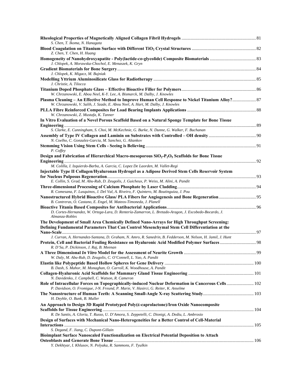| S. Chen, T. Ikoma, N. Hanagata                                                                                                                                                               |  |
|----------------------------------------------------------------------------------------------------------------------------------------------------------------------------------------------|--|
| Z. Chen, Y. Chen, H. Huang                                                                                                                                                                   |  |
| J. Chlopek, A. Morawska-Chochol, E. Menaszek, K. Gryn                                                                                                                                        |  |
| J. Chlopek, K. Migacz, M. Bujniak                                                                                                                                                            |  |
|                                                                                                                                                                                              |  |
| J. Christie, A. Tilocca                                                                                                                                                                      |  |
| W. Chrzanowski, E. Abou Neel, K-Y. Lee, A. Bismarck, M. Dalby, J. Knowles<br>Plasma Cleaning - An Effective Method to Improve Human Cell Response to Nickel Titanium Alloy? 87               |  |
| W. Chrzanowski, V. Salih, J. Szade, E. Abou Neel, A. Hart, M. Dalby, J. Knowles                                                                                                              |  |
| W. Chrzanowski, Z. Mustafa, K. Tanner                                                                                                                                                        |  |
| In Vitro Evaluation of a Novel Porous Scaffold Based on a Natural Sponge Template for Bone Tissue                                                                                            |  |
| S. Clarke, E. Cunningham, S. Choi, M. McKechnie, G. Burke, N. Dunne, G. Walker, F. Buchanan                                                                                                  |  |
|                                                                                                                                                                                              |  |
| N. Coelho, C. Gonzalez-Garcia, M. Sanchez, G. Altankov                                                                                                                                       |  |
| P. Coffey                                                                                                                                                                                    |  |
| Design and Fabrication of Hierarchical Macro-mesoporous $SiO_2-P_2O_5$ Scaffolds for Bone Tissue                                                                                             |  |
| M. Colilla, I. Izquierdo-Barba, A. Garcia, C. Lopez De Laorden, M. Vallet-Regi                                                                                                               |  |
| Injectable Type II Collagen/Hyaluronan Hydrogel as a Adipose Derived Stem Cells Reservoir System                                                                                             |  |
|                                                                                                                                                                                              |  |
| E. Collin, S. Grad, M. Abu-Rub, D. Zeugolis, J. Guicheux, P. Weiss, M. Alini, A. Pandit                                                                                                      |  |
| R. Comesana, F. Lusquinos, J. Del Val, A. Riveiro, F. Quintero, M. Boutinguiza, J. Pou                                                                                                       |  |
| Nanostructured Hybrid Bioactive Glass/PLA Fibers for Angiogenesis and Bone Regeneration 95                                                                                                   |  |
| B. Contreras, O. Castano, E. Engel, M. Mateos-Timoneda, J. Planell                                                                                                                           |  |
| D. Cortes-Hernandez, W. Ortega-Lara, D. Rentería-Zamarron, L. Bretado-Aragon, J. Escobedo-Bocardo, J.<br>Almanza-Robles                                                                      |  |
| The Development of Small Area Chemically Defined Nano-Arrays for High Throughput Screening:<br>Defining Fundamental Parameters That Can Control Mesenchymal Stem Cell Differentiation at the |  |
| J. Curran, A. Hernandez-Santana, D. Graham, N. Amro, R. Sanedrin, B. Fedderson, M. Nelson, H. Jamil, J. Hunt                                                                                 |  |
| Protein, Cell and Bacterial Fouling Resistance on Hyaluronic Acid Modified Polymer Surfaces 98                                                                                               |  |
| R. D'Sa, P. Dickinson, J. Raj, B. Meenan                                                                                                                                                     |  |
| W. Daly, M. Abu-Rub, D. Zeugolis, C. O'Connell, L. Yao, A. Pandit                                                                                                                            |  |
|                                                                                                                                                                                              |  |
| B. Dash, S. Mahor, M. Monaghan, O. Carroll, K. Woodhouse, A. Pandit                                                                                                                          |  |
| N. Davidenko, J. Campbell, C. Watson, R. Cameron                                                                                                                                             |  |
| Role of Intracellular Forces on Topographically-induced Nuclear Deformation in Cancerous Cells 102<br>P. Davidson, O. Fromigue, J-N. Freund, P. Marie, V. Hasirci, G. Reiter, K. Anselme     |  |
| H. Deyhle, O. Bunk, B. Muller                                                                                                                                                                |  |
| An Approach to Design 3D Rapid Prototyped Poly(&-caprolactone)/Iron Oxide Nanocomposite                                                                                                      |  |
| R. De Santis, A. Gloria, T. Russo, U. D'Amora, S. Zeppetelli, C. Dionigi, A. Dediu, L. Ambrosio                                                                                              |  |
| Design of Surfaces with Mechanical Nano-Heterogeneities for a Better Control of Cell-Material                                                                                                |  |
| S. Degand, F. Jiang, C. Dupont-Gillain                                                                                                                                                       |  |
| Bioimplant Surface Nanoscaled Functionalization on Electrical Potential Deposition to Attach                                                                                                 |  |
| Y. Dekhtyar, I. Khlusov, N. Polyaka, R. Sammons, F. Tyulkin                                                                                                                                  |  |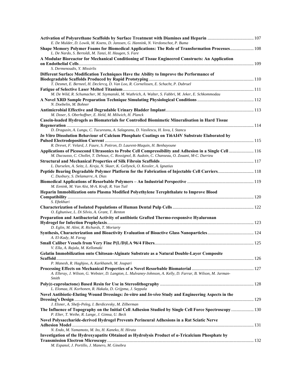| E. De Mulder, D. Lowik, M. Koens, D. Janssen, G. Hannink, N. Verdonschot, P. Buma<br>Shape Memory Polymer Foams for Biomedical Applications: The Role of Transformation Processes 108 |  |
|---------------------------------------------------------------------------------------------------------------------------------------------------------------------------------------|--|
| L. De Nardo, S. Bertoldi, M. Tanzi, H. Haugen, S. Fare                                                                                                                                |  |
| A Modular Bioreactor for Mechanical Conditioning of Tissue Engineered Constructs: An Application                                                                                      |  |
| S. Dermenoudis, Y. Missirlis                                                                                                                                                          |  |
| Different Surface Modification Techniques Have the Ability to Improve the Performance of                                                                                              |  |
|                                                                                                                                                                                       |  |
| T. Desmet, E. Berneel, H. Declercq, D. Van Loo, R. Cornelissen, E. Schacht, P. Dubruel                                                                                                |  |
|                                                                                                                                                                                       |  |
| M. De Wild, R. Schumacher, M. Szymanski, M. Wuthrich, A. Walter, S. Fabbri, M. Jeker, E. Schkommodau                                                                                  |  |
| N. Doebelin, M. Bohner                                                                                                                                                                |  |
|                                                                                                                                                                                       |  |
| M. Doser, S. Oberhoffner, E. Held, M. Milwich, H. Planck                                                                                                                              |  |
| Casein-loaded Hydrogels as Biomaterials for Controlled Biomimetic Mineralisation in Hard Tissue                                                                                       |  |
| D. Dragusin, A. Lungu, C. Tucureanu, A. Salageanu, D. Vasilescu, H. Iovu, I. Stancu                                                                                                   |  |
| In Vitro Dissolution Behaviour of Calcium Phosphate Coatings on Ti6AI4V Substrate Elaborated by                                                                                       |  |
|                                                                                                                                                                                       |  |
| R. Drevet, F. Velard, J. Faure, S. Potiron, D. Laurent-Maquin, H. Benhayoune                                                                                                          |  |
| Applications of Picosecond Ultrasonics to Probe Cell Compressibility and Adhesion in a Single Cell  116                                                                               |  |
| M. Ducousso, C. Chollet, T. Dehoux, C. Rossignol, B. Audoin, C. Chanseau, O. Zouani, M-C. Durrieu                                                                                     |  |
| L. Durselen, A. Seitz, L. Kreja, N. Skaer, K. Gellynck, O. Kessler, A. Ignatius                                                                                                       |  |
| Peptide Bearing Degradable Polymer Platform for the Fabrication of Injectable Cell Carriers 118                                                                                       |  |
| C. Duxbury, S. Delamarre, A. Dias                                                                                                                                                     |  |
| M. Eenink, M. Van Alst, M-A. Kruft, R. Van Tuil                                                                                                                                       |  |
| Heparin Immobilization onto Plasma Modified Polyethylene Terephthalate to Improve Blood                                                                                               |  |
| S. Eftekhari                                                                                                                                                                          |  |
|                                                                                                                                                                                       |  |
| O. Egbuniwe, L. Di Silvio, A. Grant, T. Renton                                                                                                                                        |  |
| Preparation and Antibacterial Activity of antibiotic Grafted Thermo-responsive Hyaluronan                                                                                             |  |
|                                                                                                                                                                                       |  |
| D. Eglin, M. Alini, R. Richards, T. Moriarty                                                                                                                                          |  |
| A. El-Kady, M. Farag                                                                                                                                                                  |  |
|                                                                                                                                                                                       |  |
| V. Ella, A. Rajala, M. Kellomaki                                                                                                                                                      |  |
| Gelatin Immobilization onto Chitosan-Alginate Substrate as a Natural Double-Layer Composite                                                                                           |  |
|                                                                                                                                                                                       |  |
| P. Manesh, R. Haghjoo, A. Karkhaneh, M. Joupari                                                                                                                                       |  |
| A. Elleray, J. Wilson, G. Webster, D. Langton, L. Mulvaney-Johnson, A. Kelly, D. Farrar, B. Wilson, M. Jarman-                                                                        |  |
| Smith                                                                                                                                                                                 |  |
| L. Elomaa, H. Korhonen, R. Hakala, D. Grijpma, J. Seppala                                                                                                                             |  |
| Novel Antibiotic-Eluting Wound Dressings: In-vitro and In-vivo Study and Engineering Aspects in the                                                                                   |  |
|                                                                                                                                                                                       |  |
| J. Elsner, A. Shefy-Peleg, I. Berdicevsky, M. Zilberman                                                                                                                               |  |
| The Influence of Topography on the Initial Cell Adhesion Studied by Single Cell Force Spectroscopy 130<br>P. Elter, T. Weihe, R. Lange, J. Gimsa, U. Beck                             |  |
| Novel Polysaccharide-derived Hydrogel Prevents Perineural Adhesions in a Rat Sciatic Nerve                                                                                            |  |
|                                                                                                                                                                                       |  |
| N. Endo, M. Yamamoto, M. Ito, H. Kaneko, H. Hirata                                                                                                                                    |  |
| Investigation of the Hydroxyapatite Obtained as Hydrolysis Product of a-Tricalcium Phosphate by                                                                                       |  |
| M. Espanol, J. Portillo, J. Manero, M. Ginebra                                                                                                                                        |  |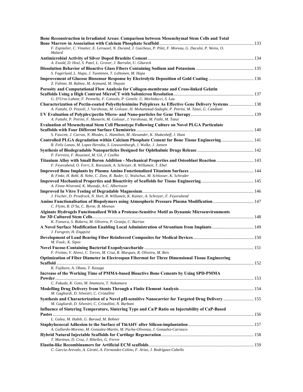| Bone Reconstruction in Irradiated Areas: Comparison between Mesenchymal Stem Cells and Total                                                                                                                                                                                                      |  |
|---------------------------------------------------------------------------------------------------------------------------------------------------------------------------------------------------------------------------------------------------------------------------------------------------|--|
| F. Espitalier, C. Vinatier, E. Lerouxel, N. Durand, J. Guicheux, P. Pilet, F. Moreau, G. Daculsi, P. Weiss, O.<br>Malard                                                                                                                                                                          |  |
|                                                                                                                                                                                                                                                                                                   |  |
| A. Ewald, D. Hosl, S. Patel, L. Grover, J. Barralet, U. Gbureck                                                                                                                                                                                                                                   |  |
| S. Fagerlund, L. Hupa, J. Tuominen, T. Lehtonen, M. Hupa                                                                                                                                                                                                                                          |  |
| Improvement of Glucose Biosensor Response by Electrolytic Deposition of Gold Coating  136<br>Z. Fahimi, M. Rabiee, M. Arjmand, M. Shayan                                                                                                                                                          |  |
| Porosity and Computational Flow Analysis for Collagen-membrane and Cross-linked Gelatin                                                                                                                                                                                                           |  |
| G. D'Urso Labate, F. Pennella, F. Consolo, P. Gentile, U. Morbiducci, S. Lau<br>Characterization of Pectin-coated Polyethylenimine Polyplexes As Effective Gene Delivery Systems  138<br>A. Fattahi, D. Pezzoli, J. Varshosaz, M. Golozar, H. Mohammad-Sadeghi, P. Petrini, M. Tanzi, G. Candiani |  |
| A. Fattahi, P. Petrini, F. Munarin, M. Golozar, J. Varshosaz, M. Fathi, M. Tanzi                                                                                                                                                                                                                  |  |
| Evaluation of Mesenchymal Stem Cell Phenotype Following Culture on Novel PLGA Particulate                                                                                                                                                                                                         |  |
| S. Fawcett, J. Curran, N. Rhodes, L. Hamilton, M. Alexander, K. Shakesheff, J. Hunt                                                                                                                                                                                                               |  |
| Controlled PLGA degradation within Calcium Phosphate Cement for Bone Tissue Engineering 141<br>R. Felix Lanao, M. Lopez Heredia, S. Leeuwenburgh, J. Wolke, J. Jansen                                                                                                                             |  |
|                                                                                                                                                                                                                                                                                                   |  |
| P. Ferreira, F. Rouxinol, M. Gil, J. Coelho                                                                                                                                                                                                                                                       |  |
| Titanium Alloy with Small Boron Addition - Mechanical Properties and Osteoblast Reaction  143<br>F. Feyerabend, O. Ferri, E. Rzeszutek, A. Schreyer, R. Willumeit, T. Ebel                                                                                                                        |  |
|                                                                                                                                                                                                                                                                                                   |  |
| B. Finke, H. Rebl, B. Nebe, C. Zietz, R. Bader, U. Walschus, M. Schlosser, K. Schroder                                                                                                                                                                                                            |  |
| A. Finne-Wistrand, K. Mustafa, A-C. Albertsson                                                                                                                                                                                                                                                    |  |
|                                                                                                                                                                                                                                                                                                   |  |
| J. Fischer, D. Proefrock, N. Hort, R. Willumeit, K. Kainer, A. Schreyer, F. Feyerabend                                                                                                                                                                                                            |  |
| Amino Functionalisation of Biopolymers using Atmospheric Pressure Plasma Modification  147<br>C. Flynn, R. D'Sa, C. Byrne, B. Meenan                                                                                                                                                              |  |
| Alginate Hydrogels Functionalized With a Protease-Sensitive Motif as Dynamic Microenvironments                                                                                                                                                                                                    |  |
|                                                                                                                                                                                                                                                                                                   |  |
| K. Fonseca, S. Bidarra, M. Oliveira, P. Granja, C. Barrias                                                                                                                                                                                                                                        |  |
| A Novel Surface Modification Enabling Local Administration of Strontium from Implants 149<br>J. Forsgren, H. Engqvist                                                                                                                                                                             |  |
| M. Foulc, K. Sipos                                                                                                                                                                                                                                                                                |  |
|                                                                                                                                                                                                                                                                                                   |  |
| F. Freitas, V. Alvesi, C. Torres, M. Cruz, R. Marques, R. Oliveira, M. Reis<br>Optimization of Fiber Diameter in Electrospun Fibermat for Three Dimensional Tissue Engineering                                                                                                                    |  |
|                                                                                                                                                                                                                                                                                                   |  |
| K. Fujikura, A. Obata, T. Kasuga                                                                                                                                                                                                                                                                  |  |
| Increase of the Working Time of PMMA-based Bioactive Bone Cements by Using SPD-PMMA                                                                                                                                                                                                               |  |
| C. Fukuda, K. Goto, M. Imamura, T. Nakamura                                                                                                                                                                                                                                                       |  |
| M. Gagliardi, D. Silvestri, C. Cristallini                                                                                                                                                                                                                                                        |  |
| Synthesis and Characterization of a Novel pH-sensitive Nanocarrier for Targeted Drug Delivery  155<br>M. Gagliardi, D. Silvestri, C. Cristallini, N. Barbani                                                                                                                                      |  |
| Influence of Sintering Temperature, Sintering Type and Ca/P Ratio on Injectability of CaP-Based                                                                                                                                                                                                   |  |
| L. Galea, M. Habib, G. Baroud, M. Bohner                                                                                                                                                                                                                                                          |  |
| A. Gallardo-Moreno, M. Gonzalez-Martín, M. Pacha-Olivenza, J. Gonzalez-Carrasco                                                                                                                                                                                                                   |  |
|                                                                                                                                                                                                                                                                                                   |  |
| T. Martinez, D. Cruz, J. Ribelles, G. Ferrer                                                                                                                                                                                                                                                      |  |
| C. Garcia-Arevalo, A. Girotti, A. Fernandez-Colino, F. Arias, J. Rodríguez-Cabello                                                                                                                                                                                                                |  |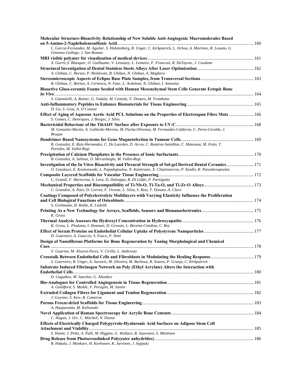| Molecular Structure-Bioactivity Relationship of New Soluble Anti-Angiogenic Macromolecules Based                                                                                                  |  |
|---------------------------------------------------------------------------------------------------------------------------------------------------------------------------------------------------|--|
|                                                                                                                                                                                                   |  |
| L. Garcia-Fernandez, M. Aguilar, S. Halstenberg, R. Unger, C. Kirkpatrick, L. Ochoa, A. Martinez, R. Lozano, G.<br>Gimenez-Gallego, J. San Roman                                                  |  |
|                                                                                                                                                                                                   |  |
| X. Garric, S. Blanquer, O. Guillaume, V. Letouzey, L. Lemaire, F. Franconi, R. DeTayrac, J. Coudane                                                                                               |  |
|                                                                                                                                                                                                   |  |
| A. Ghiban, C. Bortun, P. Moldovan, B. Ghiban, N. Ghiban, A. Magheru                                                                                                                               |  |
|                                                                                                                                                                                                   |  |
| B. Ghiban, C. Bortun, A. Cernescu, N. Faur, L. Ardelean, N. Ghiban, I. Antoniac                                                                                                                   |  |
| Bioactive Glass-ceramic Foams Seeded with Human Mesenchymal Stem Cells Generate Ectopic Bone                                                                                                      |  |
|                                                                                                                                                                                                   |  |
| S. Giannitelli, A. Rainer, G. Vadala, M. Centola, V. Denaro, M. Trombetta                                                                                                                         |  |
|                                                                                                                                                                                                   |  |
| D. Go, S. Gras, A. O'Connor                                                                                                                                                                       |  |
| Effect of Aging of Aqueous Acetic Acid PCL Solutions on the Properties of Electrospun Fibre Mats  166                                                                                             |  |
| S. Gomes, C. Henriques, J. Borges, J. Silva                                                                                                                                                       |  |
| M. Gonzalez-Martin, A. Gallardo-Moreno, M. Pacha-Olivenza, M. Fernandez-Calderon, C. Perez-Giraldo, J.                                                                                            |  |
| <b>Brugue</b>                                                                                                                                                                                     |  |
|                                                                                                                                                                                                   |  |
| B. Gonzalez, E. Ruiz-Hernandez, C. De Laorden, D. Arcos, C. Ramirez-Santillan, C. Matesanz, M. Feito, T.                                                                                          |  |
| Portoles, M. Vallet-Regi                                                                                                                                                                          |  |
|                                                                                                                                                                                                   |  |
| B. Gonzalez, A. Salinas, O. Mersinlioglu, M. Vallet-Regi                                                                                                                                          |  |
| Investigation of the In Vitro Bioactivity and Flexural Strength of Sol-gel Derived Dental Ceramics 171                                                                                            |  |
| O. Goudouri, E. Kontonasaki, L. Papadopoulou, N. Kantiranis, X. Chatzistavrou, P. Koidis, K. Paraskevopoulos                                                                                      |  |
|                                                                                                                                                                                                   |  |
| C. Grandi, F. Martorina, S. Lora, D. Dalzoppo, R. Di Liddo, P. Parnigotto                                                                                                                         |  |
| C. Grandini, A. Paes, D. Correa, F. Vicente, L. Silva, S. Ruiz, T. Donato, A. Claro                                                                                                               |  |
| Coatings Composed of Polyelectrolyte Multilayers with Varying Elasticity Influence the Proliferation                                                                                              |  |
|                                                                                                                                                                                                   |  |
| S. Grohmann, H. Rothe, K. Liefeith                                                                                                                                                                |  |
|                                                                                                                                                                                                   |  |
| K. Gross                                                                                                                                                                                          |  |
|                                                                                                                                                                                                   |  |
| K. Gross, L. Pluduma, I. Demnati, D. Grossin, L. Berzina-Cimdina, C. Rey                                                                                                                          |  |
|                                                                                                                                                                                                   |  |
| D. Guarnieri, A. Guaccio, S. Fusco, P. Netti                                                                                                                                                      |  |
| Design of Nanofibrous Platforms for Bone Regeneration by Tuning Morphological and Chemical                                                                                                        |  |
|                                                                                                                                                                                                   |  |
| V. Guarino, M. Alvarez-Perez, V. Cirillo, L. Ambrosio                                                                                                                                             |  |
| Crosstalk Between Endothelial Cells and Fibroblasts in Modulating the Healing Response  179<br>S. Guerreiro, R. Unger, A. Sartoris, M. Oliveira, M. Barbosa, R. Soares, P. Granja, C. Kirkpatrick |  |
| Substrate Induced Fibrinogen Network on Poly (Ethyl Acrylate) Alters the Interaction with                                                                                                         |  |
|                                                                                                                                                                                                   |  |
| D. Gugutkov, M. Sanchez, G. Altankov                                                                                                                                                              |  |
|                                                                                                                                                                                                   |  |
| A. Guildford, S. Meikle, V. Perugini, M. Santin                                                                                                                                                   |  |
|                                                                                                                                                                                                   |  |
| J. Gwynne, S. Kew, R. Cameron                                                                                                                                                                     |  |
|                                                                                                                                                                                                   |  |
| A. Haaparanta, M. Kellomaki                                                                                                                                                                       |  |
|                                                                                                                                                                                                   |  |
| C. Hagan, J. Orr, C. Mitchell, N. Dunne                                                                                                                                                           |  |
| Effects of Electrically Charged Polypyrrole-Hyaluronic Acid Surfaces on Adipose Stem Cell                                                                                                         |  |
|                                                                                                                                                                                                   |  |
| S. Haimi, J. Pelto, A. Palli, M. Higgins, G. Wallace, R. Suuronen, S. Miettinen                                                                                                                   |  |
| R. Hakala, J. Monkare, H. Korhonen, K. Jarvinen, J. Seppala                                                                                                                                       |  |
|                                                                                                                                                                                                   |  |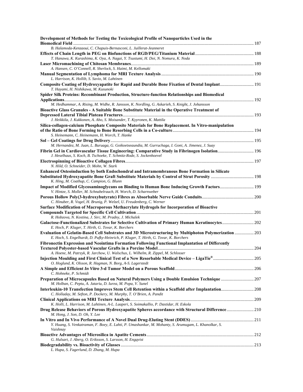| Development of Methods for Testing the Toxicological Profile of Nanoparticles Used in the                                                                                                       |  |
|-------------------------------------------------------------------------------------------------------------------------------------------------------------------------------------------------|--|
| B. Halamoda-Kenzaoui, C. Chapuis-Bernasconi, L. Juillerat-Jeanneret                                                                                                                             |  |
|                                                                                                                                                                                                 |  |
| T. Hanawa, K. Kurashima, K. Oya, A. Nagai, Y. Tsustumi, H. Doi, N. Nomura, K. Noda                                                                                                              |  |
|                                                                                                                                                                                                 |  |
| A. Hansen, C. O'Connell, R. Sherlock, S. Haimi, M. Kellomaki                                                                                                                                    |  |
| L. Harrison, K. Hollib, S. Savio, M. Lahtinen                                                                                                                                                   |  |
| Composite Coating of Hydroxyapatite for Rapid and Durable Bone Fixation of Dental Implant 191<br>T. Hayami, H. Nishikawa, M. Kusunoki                                                           |  |
| Spider Silk Proteins: Recombinant Production, Structure-function Relationships and Biomedical                                                                                                   |  |
| M. Hedhammar, A. Rising, M. Widhe, R. Jansson, K. Nordling, G. Askarieh, S. Knight, J. Johansson                                                                                                |  |
| Bioactive Glass Granules - A Suitable Bone Substitute Material in the Operative Treatment of                                                                                                    |  |
| J. Heikkila, J. Kukkonen, A. Aho, S. Moisander, T. Kyyronen, K. Mattila                                                                                                                         |  |
| Silica-collagen-calcium Phosphate Composite Materials for Bone Replacement. In Vitro-manipulation                                                                                               |  |
|                                                                                                                                                                                                 |  |
| S. Heinemann, C. Heinemann, H. Worch, T. Hanke                                                                                                                                                  |  |
|                                                                                                                                                                                                 |  |
| M. Hernandez, M. Juan, L. Buruaga, G. Goikoetxeaundia, M. Gurruchaga, I. Goni, A. Jimenez, J. Suay                                                                                              |  |
| Fibrin Gel in Cardiovascular Tissue Engineering: Comparative Study in Fibrinogen Isolation 196                                                                                                  |  |
| J. Heselhaus, S. Koch, B. Tschoeke, T. Schmitz-Rode, S. Jockenhoevel                                                                                                                            |  |
| N. Hild, O. Schneider, D. Mohn, W. Stark                                                                                                                                                        |  |
|                                                                                                                                                                                                 |  |
| Enhanced Osteoinduction by both Endochondral and Intramembranous Bone Formation in Silicate                                                                                                     |  |
| K. Hing, M. Coathup, C. Campion, G. Blunn                                                                                                                                                       |  |
| Impact of Modified Glycosaminoglycans on Binding to Human Bone Inducing Growth Factors 199                                                                                                      |  |
| V. Hintze, S. Moller, M. Schnabelrauch, H. Worch, D. Scharnweber                                                                                                                                |  |
| C. Hinuber, R. Vogel, H. Brunig, P. Welzel, U. Freudenberg, C. Werner                                                                                                                           |  |
| Surface Modification of Macroporous Methacrylate Hydrogels for Incorporation of Bioactive                                                                                                       |  |
| R. Hobzova, N. Kostina, J. Sirc, M. Pradny, J. Michalek                                                                                                                                         |  |
| Galactose-Functionalized Substrates for Selective Cultivation of Primary Human Keratinocytes 202                                                                                                |  |
| E. Hoch, P. Kluger, T. Hirth, G. Tovar, K. Borchers                                                                                                                                             |  |
| Evaluation of Gelatin-Based Cell Substrates and 3D Microstructuring by Multiphoton Polymerization  203<br>E. Hoch, S. Engelhardt, D. Pufky-Heinrich, P. Kluger, T. Hirth, G. Tovar, K. Borchers |  |
| Fibronectin Expression and Neointima Formation Following Functional Implantation of Differently                                                                                                 |  |
|                                                                                                                                                                                                 |  |
| A. Hoene, M. Patrzyk, R. Jarchow, U. Walschus, L. Wilhelm, R. Zippel, M. Schlosser                                                                                                              |  |
|                                                                                                                                                                                                 |  |
| O. Hoglund, K. Olsson, R. Hagman, N. Borg, A-S. Lagerstedt                                                                                                                                      |  |
|                                                                                                                                                                                                 |  |
| C. Hohneke, P. Schmidt                                                                                                                                                                          |  |
| Preparation of Microcapsules Based on Natural Polymers Using a Double Emulsion Technique  207<br>M. Holban, C. Peptu, A. Jatariu, D. Iurea, M. Popa, V. Sunel                                   |  |
| Interleukin-10 Transfection Improves Stem Cell Retention within a Scaffold after Implantation 208<br>C. Holladay, M. Sefton, P. Dockery, M. Murphy, T. O'Brien, A. Pandit                       |  |
|                                                                                                                                                                                                 |  |
| K. Holli, L. Harrison, M. Lahtinen, A-L. Laaperi, S. Soimakallio, P. Dastidar, H. Eskola                                                                                                        |  |
| Drug Release Behaviors of Porous Hydroxyapatite Spheres accordance with Structural Difference 210<br>M. Hong, J. Son, D. Oh, Y. Lee                                                             |  |
|                                                                                                                                                                                                 |  |
| Y. Huang, S. Venkatraman, F. Boey, E. Lahti, P. Umashankar, M. Mohanty, S. Arumugam, L. Khanolkar, S.<br>Vaishnay                                                                               |  |
|                                                                                                                                                                                                 |  |
| G. Hulsart, J. Aberg, O. Eriksson, S. Larsson, H. Engqvist                                                                                                                                      |  |
| L. Hupa, S. Fagerlund, D. Zhang, M. Hupa                                                                                                                                                        |  |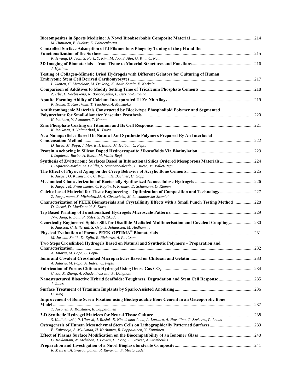| M. Huttunen, E. Suokas, K. Lahteenkorva                                                                                                                               |  |
|-----------------------------------------------------------------------------------------------------------------------------------------------------------------------|--|
| Controlled Surface Adsorption of fd Filamentous Phage by Tuning of the pH and the                                                                                     |  |
|                                                                                                                                                                       |  |
| K. Hwang, D. Jeon, S. Park, Y. Kim, M. Joo, S. Ahn, G. Kim, C. Nam<br>J. Hyttinen                                                                                     |  |
| Testing of Collagen-Mimetic Dried Hydrogels with Different Gelators for Culturing of Human                                                                            |  |
|                                                                                                                                                                       |  |
| L. Ikonen, G. Metselaar, M. De Jong, K. Aalto-Setala, E. Kerkela                                                                                                      |  |
| Z. Irbe, L. Vecbiskena, N. Borodajenko, L. Berzina-Cimdina                                                                                                            |  |
| K. Isama, T. Kawakami, T. Tsuchiya, A. Matsuoka                                                                                                                       |  |
| Antithrombogenic Materials Constructed by Block-type Phospholipid Polymer and Segmented                                                                               |  |
|                                                                                                                                                                       |  |
| K. Ishihara, Y. Asanuma, T. Konno                                                                                                                                     |  |
| K. Ishikawa, A. Valanezhad, K. Tsuru                                                                                                                                  |  |
| New Nanoparticles Based On Natural And Synthetic Polymers Prepared By An Interfacial                                                                                  |  |
| D. Iurea, M. Popa, J. Morris, I. Bunia, M. Holban, C. Peptu                                                                                                           |  |
|                                                                                                                                                                       |  |
| I. Izquierdo-Barba, A. Baeza, M. Vallet-Regi                                                                                                                          |  |
| Synthesis of Zwitterionic Surfaces Based in Bifunctional Silica Ordered Mesoporous Materials 224                                                                      |  |
| I. Izquierdo-Barba, M. Colilla, S. Sanchez-Salcedo, J. Hueso, M. Vallet-Regi                                                                                          |  |
| R. Jaeger, O. Kuzmychov, C. Koplin, H. Buchner, U. Gopp                                                                                                               |  |
|                                                                                                                                                                       |  |
| R. Jaeger, M. Frensemeier, C. Koplin, F. Kramer, D. Schumann, D. Klemm                                                                                                |  |
| Calcite-based Material for Tissue Engineering - Optimization of Composition and Technology227<br>Z. Jaegermann, S. Michalowski, A. Chroscicka, M. Lewandowska-Szumiel |  |
| Characterization of PEEK Biomaterials and Crystallinity Effects with a Small Punch Testing Method  228<br>D. Jaekel, D. MacDonald, S. Kurtz                           |  |
| J-W. Jang, R. Lam, P. Stiles, S. Nettikadan                                                                                                                           |  |
| Genetically Engineered Spider Silk for Disulfide-Mediated Multimerisation and Covalent Coupling230<br>R. Jansson, C. Hillerdal, S. Grip, J. Johansson, M. Hedhammar   |  |
|                                                                                                                                                                       |  |
| M. Jarman-Smith, D. Eglin, R. Richards, A. Poulsson                                                                                                                   |  |
| Two Steps Crosslinked Hydrogels Based on Natural and Synthetic Polymers - Preparation and                                                                             |  |
| A. Jatariu, M. Popa, C. Peptu                                                                                                                                         |  |
|                                                                                                                                                                       |  |
| A. Jatariu, M. Popa, A. Indrei, C. Peptu                                                                                                                              |  |
|                                                                                                                                                                       |  |
| C. Jia, X. Zhong, A. Khademhosseini, F. Dehghani<br>Nanostructured Bioactive Hybrid Scaffolds: Toughness, Degradation and Stem Cell Response  235                     |  |
| J. Jones<br>C. Jung                                                                                                                                                   |  |
| <b>Improvement of Bone Screw Fixation using Biodegradable Bone Cement in an Osteoporotic Bone</b>                                                                     |  |
|                                                                                                                                                                       |  |
| T. Juvonen, A. Koistinen, R. Lappalainen                                                                                                                              |  |
| S. Kadlubowski, P. Ulanski, J. Rosiak, E. Nicodemou-Lena, A. Lanzara, A. Novellino, G. Szekeres, P. Lenas                                                             |  |
|                                                                                                                                                                       |  |
| E. Kaivosoja, S. Myllymaa, H. Korhonen, R. Lappalainen, Y. Konttinen                                                                                                  |  |
|                                                                                                                                                                       |  |
| G. Kaklamani, N. Mehrban, J. Bowen, H. Dong, L. Grover, A. Stamboulis                                                                                                 |  |
| R. Mehrizi, A. Yyazdanpanah, R. Ravarian, F. Moztarzadeh                                                                                                              |  |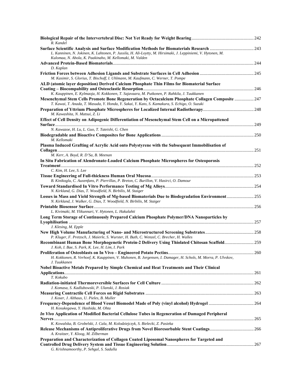| R. Kandel                                                                                                                                                                                          |  |
|----------------------------------------------------------------------------------------------------------------------------------------------------------------------------------------------------|--|
|                                                                                                                                                                                                    |  |
| L. Kanninen, N. Jokinen, K. Lahtonen, P. Jussila, H. Ali-Loytty, M. Hirsimaki, J. Leppiniemi, V. Hytonen, M.<br>Kulomaa, N. Ahola, K. Paakinaho, M. Kellomaki, M. Valden                           |  |
|                                                                                                                                                                                                    |  |
| D. Kaplan                                                                                                                                                                                          |  |
| M. Kasimir, S. Glorius, T. Bischoff, I. Uhlmann, M. Kaufmann, C. Werner, T. Pompe                                                                                                                  |  |
| ALD (atomic layer deposition) Derived Calcium Phosphate Thin Films for Biomaterial Surface                                                                                                         |  |
| K. Kauppinen, E. Kylmaoja, H. Kokkonen, T. Sajavaara, M. Putkonen, P. Rahkila, J. Tuukkanen                                                                                                        |  |
| Mesenchymal Stem Cells Promote Bone Regeneration by Octacalcium Phosphate Collagen Composite  247<br>T. Kawai, T. Anada, T. Masuda, Y. Honda, Y. Sakai, Y. Kato, S. Kamakura, S. Echigo, O. Suzuki |  |
| M. Kawashita, N. Matsui, Z. Li                                                                                                                                                                     |  |
| Effect of Cell Density on Adipogenic Differentiation of Mesenchymal Stem Cell on a Micropattened                                                                                                   |  |
| N. Kawazoe, H. Lu, L. Guo, T. Tateishi, G. Chen                                                                                                                                                    |  |
| M. Kellomaki                                                                                                                                                                                       |  |
| Plasma Induced Grafting of Acrylic Acid onto Polystyrene with the Subsequent Immobilisation of                                                                                                     |  |
| M. Kerr, A. Boyd, R. D'Sa, B. Meenan                                                                                                                                                               |  |
| In Situ Fabrication of Alendronate-Loaded Calcium Phosphate Microspheres for Osteoporosis                                                                                                          |  |
| C. Kim, H. Lee, S. Lee                                                                                                                                                                             |  |
|                                                                                                                                                                                                    |  |
| B. Kinikoglu, C. Auxenfans, P. Pierrillas, P. Breton, C. Burillon, V. Hasirci, O. Damour                                                                                                           |  |
| N. Kirkland, G. Dias, T. Woodfield, N. Birbilis, M. Staiger                                                                                                                                        |  |
| Losses in Mass and Yield Strength of Mg-based Biomaterials Due to Biodegradation Environment255<br>N. Kirkland, J. Walker, G. Dias, T. Woodfield, N. Birbilis, M. Staiger                          |  |
| L. Kivimaki, M. Ylikunnari, V. Hytonen, L. Hakalahti                                                                                                                                               |  |
| Long Term Storage of Continuously Prepared Calcium Phosphate Polymer/DNA Nanoparticles by                                                                                                          |  |
| J. Klesing, M. Epple                                                                                                                                                                               |  |
| P. Kluger, F. Pretzsch, J. Maierle, S. Wurster, H. Buth, C. Wenzel, C. Brecher, H. Walles                                                                                                          |  |
| Recombinant Human Bone Morphogenetic Protein-2 Delivery Using Thiolated Chitosan Scaffold259                                                                                                       |  |
| J. Koh, I. Bae, S. Park, K. Lee, H. Lim, I. Park                                                                                                                                                   |  |
| H. Kokkonen, R. Verhoef, K. Kauppinen, V. Muhonen, B. Jorgensen, I. Damager, H. Schols, M. Morra, P. Ulvskov,<br>J. Tuukkanen                                                                      |  |
| <b>Nobel Bioactive Metals Prepared by Simple Chemical and Heat Treatments and Their Clinical</b>                                                                                                   |  |
| T. Kokubo                                                                                                                                                                                          |  |
| J. Komasa, S. Kadlubowski, P. Ulanski, J. Rosiak                                                                                                                                                   |  |
| J. Koser, J. Althaus, U. Pieles, B. Muller                                                                                                                                                         |  |
| H. Kosukegawa, Y. Hashida, M. Ohta                                                                                                                                                                 |  |
| In Vivo Application of Modified Bacterial Cellulose Tubes in Regeneration of Damaged Peripheral                                                                                                    |  |
| K. Kowalska, B. Grobelski, J. Cala, M. Kolodziejczyk, S. Bielecki, Z. Pasieka                                                                                                                      |  |
| A. Kraitzer, Y. Kloog, M. Zilberman                                                                                                                                                                |  |
| Preparation and Characterization of Collagen Coated Liposomal Nanospheres for Targeted and                                                                                                         |  |
| G. Krishnamoorthy, P. Sehgal, S. Sadulla                                                                                                                                                           |  |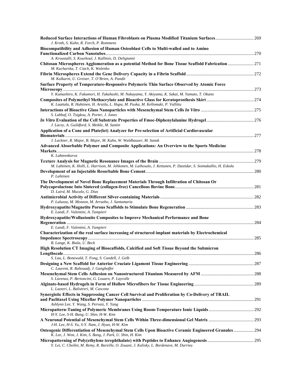| Reduced Surface Interactions of Human Fibroblasts on Plasma Modified Titanium Surfaces 269<br>J. Kroth, S. Kuhn, R. Forch, P. Rommens                           |  |
|-----------------------------------------------------------------------------------------------------------------------------------------------------------------|--|
| Biocompatibility and Adhesion of Human Osteoblast Cells to Multi-walled and to Amino                                                                            |  |
|                                                                                                                                                                 |  |
| A. Kroustalli, S. Kourkoul, J. Kallitsis, D. Deligianni                                                                                                         |  |
| Chitosan Microspheres Agglomeration as a potential Method for Bone Tissue Scaffold Fabrication 271<br>M. Kucharska, T. Ciach, K. Walenko                        |  |
|                                                                                                                                                                 |  |
| M. Kulkarni, U. Greiser, T. O'Brien, A. Pandit                                                                                                                  |  |
| Surface Property of Temperature-Responsive Polymeric Thin Surface Observed by Atomic Force                                                                      |  |
|                                                                                                                                                                 |  |
| Y. Kumashiro, K. Fukumori, H. Takahashi, M. Nakayama, Y. Akiyama, K. Sakai, M. Yamato, T. Okano                                                                 |  |
| K. Laattala, R. Huhtinen, H. Arstila, L. Hupa, M. Puska, M. Kellomaki, P. Vallittu                                                                              |  |
|                                                                                                                                                                 |  |
| S. Labbaf, O. Tsigkou, A. Porter, J. Jones                                                                                                                      |  |
|                                                                                                                                                                 |  |
| J. Lacey, A. Guildford, S. Meikle, M. Santin                                                                                                                    |  |
| Application of a Cone and Plate(let) Analyzer for Pre-selection of Artificial Cardiovascular                                                                    |  |
| J. Lackner, R. Major, B. Major, M. Kahn, W. Waldhauser, M. Sanak                                                                                                |  |
| Advanced Absorbable Polymer and Composite Applications: An Overview to the Sports Medicine                                                                      |  |
|                                                                                                                                                                 |  |
| K. Lahteenkorva                                                                                                                                                 |  |
|                                                                                                                                                                 |  |
| M. Lahtinen, K. Holli, L. Harrison, M. Jehkonen, M. Laihosalo, J. Kettunen, P. Dastidar, S. Soimakallio, H. Eskola                                              |  |
| P. Lahtinen                                                                                                                                                     |  |
| The Development of Novel Bone Replacement Materials Through Infiltration of Chitosan Or                                                                         |  |
|                                                                                                                                                                 |  |
| D. Laird, M. Mucalo, G. Dias                                                                                                                                    |  |
|                                                                                                                                                                 |  |
| P. Lalueza, M. Monzon, M. Arruebo, J. Santamaria                                                                                                                |  |
| E. Landi, F. Valentini, A. Tampieri                                                                                                                             |  |
| Hydroxyapatite/Wollastonite Composites to Improve Mechanical Performance and Bone                                                                               |  |
|                                                                                                                                                                 |  |
| E. Landi, F. Valentini, A. Tampieri                                                                                                                             |  |
| Characterization of the real surface increasing of structured implant materials by Electrochemical                                                              |  |
| R. Lange, K. Biala, U. Beck                                                                                                                                     |  |
| High Resolution CT Imaging of Bioscaffolds, Calcified and Soft Tissue Beyond the Submicron                                                                      |  |
|                                                                                                                                                                 |  |
| S. Lau, L. Bonewald, T. Fong, S. Candell, J. Gelb                                                                                                               |  |
| C. Laurent, R. Rahouadj, J. Ganghoffer                                                                                                                          |  |
|                                                                                                                                                                 |  |
| S. Lavenus, P. Bertoncini, G. Louarn, P. Layrolle                                                                                                               |  |
|                                                                                                                                                                 |  |
| L. Lazzeri, L. Balistreri, M. Cascone                                                                                                                           |  |
| Synergistic Effects in Suppressing Cancer Cell Survival and Proliferation by Co-Delivery of TRAIL                                                               |  |
| Ashlynn Lee, Y. Wang, S. Pervaiz, Y. Yang                                                                                                                       |  |
|                                                                                                                                                                 |  |
| H-Y. Lee, S-H. Bang, U. Shin, H-W. Kim                                                                                                                          |  |
|                                                                                                                                                                 |  |
| J-H. Lee, H-S. Yu, S-Y. Nam, J. Hyun, H-W. Kim                                                                                                                  |  |
| Osteogenic Differentiation of Mesenchymal Stem Cells Upon Bioactive Ceramic Engineered Granules294<br>K. Lee, J. Won, J. Kim, S. Bang, J. Park, U. Shin, H. Kim |  |
|                                                                                                                                                                 |  |
| Y. Lei, C. Chollet, M. Remy, R. Bareille, O. Zouani, J. Kalisky, L. Bordenave, M. Durrieu                                                                       |  |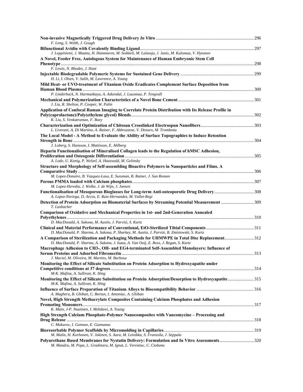| F. Leng, S. Webb, J. Gough                                                                                                                                                       |  |
|----------------------------------------------------------------------------------------------------------------------------------------------------------------------------------|--|
|                                                                                                                                                                                  |  |
| J. Leppiniemi, J. Maatta, H. Hammaren, M. Soikkeli, M. Laitaoja, J. Janis, M. Kulomaa, V. Hytonen                                                                                |  |
| A Novel, Feeder Free, Autologous System for Maintenance of Human Embryonic Stem Cell                                                                                             |  |
|                                                                                                                                                                                  |  |
| F. Lewis, N. Rhodes, J. Hunt                                                                                                                                                     |  |
|                                                                                                                                                                                  |  |
| H. Li, I. Olsen, V. Salih, M. Lawrence, A. Young                                                                                                                                 |  |
| Mild Heat- or UVO-treatment of Titanium Oxide Eradicates Complement Surface Deposition from                                                                                      |  |
| P. Linderback, N. Harmankaya, A. Askendal, J. Lausmaa, P. Tengvall                                                                                                               |  |
|                                                                                                                                                                                  |  |
| J. Liu, R. Shelton, P. Cooper, W. Palin                                                                                                                                          |  |
| Application of Confocal Raman Imaging to Correlate Protein Distribution with Its Release Profile in                                                                              |  |
| K. Liu, S. Venkatraman, F. Boey                                                                                                                                                  |  |
|                                                                                                                                                                                  |  |
| L. Liverani, A. Di Martino, A. Rainer, F. Abbruzzese, V. Denaro, M. Trombetta                                                                                                    |  |
| The Local Model - A Method to Evaluate the Ability of Surface Topographies to Induce Retention                                                                                   |  |
|                                                                                                                                                                                  |  |
| J. Loberg, S. Hansson, I. Mattisson, E. Ahlberg                                                                                                                                  |  |
| Heparin Functionalisation of Mineralised Collagen leads to the Regulation of hMSC Adhesion,                                                                                      |  |
|                                                                                                                                                                                  |  |
| A. Lode, U. Konig, P. Welzel, A. Hauswald, M. Gelinsky                                                                                                                           |  |
| Structure and Morphology of Self-assembling Bioactive Polymers in Nanoparticles and Films. A                                                                                     |  |
|                                                                                                                                                                                  |  |
| M. Lopez-Donaire, B. Vazquez-Lasa, E. Sussman, B. Ratner, J. San Roman                                                                                                           |  |
| M. Lopez-Heredia, J. Wolke, J. de Wijn, J. Jansen                                                                                                                                |  |
| Functionalisation of Mesoporous Bioglasses for Long-term Anti-osteoporotic Drug Delivery 308                                                                                     |  |
| A. Lopez-Noriega, D. Arcos, E. Ruiz-Hernandez, M. Vallet-Regi                                                                                                                    |  |
| 109 Detection of Protein Adsorption on Biomaterial Surfaces by Streaming Potential Measurement 309                                                                               |  |
| T. Luxbacher                                                                                                                                                                     |  |
| <b>Comparison of Oxidative and Mechanical Properties in 1st- and 2nd-Generation Annealed</b>                                                                                     |  |
|                                                                                                                                                                                  |  |
| D. MacDonald, A. Sakona, M. Austin, J. Parvizi, S. Kurtz                                                                                                                         |  |
|                                                                                                                                                                                  |  |
| D. MacDonald, P. Sharma, A. Sakona, P. Sharkey, M. Austin, J. Parvizi, B. Zmistowski, S. Kurtz                                                                                   |  |
| A Comparison of Sterilization and Packaging Methods for UHMWPE in Total Disc Replacement312                                                                                      |  |
| D. MacDonald, P. Sharma, A. Sakona, J. Isaza, A. Van Ooij, E. Ross, J. Regan, S. Kurtz                                                                                           |  |
| Macrophage Adhesion to CH3-, OH- and EG4-terminated Self-Assembled Monolayers: Influence of                                                                                      |  |
| J. Maciel, M. Oliveira, M. Martins, M. Barbosa                                                                                                                                   |  |
| Monitoring the Effect of Silicate Substitution on Protein Adsorption to Hydroxyapatite under                                                                                     |  |
|                                                                                                                                                                                  |  |
| M-K. Mafina, A. Sullivan, K. Hing                                                                                                                                                |  |
| Monitoring the Effect of Silicate Substitution on Protein Adsorption/Desorption to Hydroxyapatite315<br>M-K. Mafina, A. Sullivan, K. Hing                                        |  |
|                                                                                                                                                                                  |  |
| A. Magheru, B. Ghiban, C. Bortun, I. Antoniac, A. Ghiban                                                                                                                         |  |
| Novel, High Strength Methacrylate Composites Containing Calcium Phosphates and Adhesion                                                                                          |  |
|                                                                                                                                                                                  |  |
| K. Main, J-P. Nuutinen, I. Mehdawi, A. Young                                                                                                                                     |  |
| High Strength Calcium Phosphate-Polymer Nanocomposites with Vancomycine – Processing and                                                                                         |  |
|                                                                                                                                                                                  |  |
| C. Makarov, I. Gotman, E. Gutmanas                                                                                                                                               |  |
|                                                                                                                                                                                  |  |
| M. Malin, H. Korhonen, V. Jokinen, S. Aura, M. Leinikka, S. Franssila, J. Seppala<br>Polyurethane Based Membranes for Nystatin Delivery: Formulation and In Vitro Assessments320 |  |
| M. Mandru, M. Popa, L. Gradinaru, M. Ignat, L. Verestiuc, C. Ciobanu                                                                                                             |  |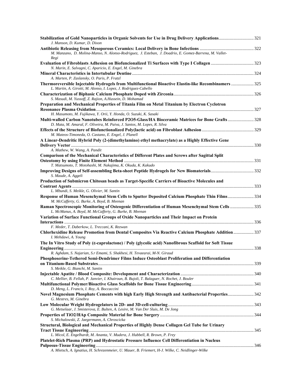| M. Manzano, D. Molina-Manso, N. Alonso-Rodriguez, J. Esteban, J. Doadrio, E. Gomez-Barrena, M. Vallet-<br>Regi                                                           |
|--------------------------------------------------------------------------------------------------------------------------------------------------------------------------|
| Evaluation of Fibroblasts Adhesion on Biofuncionalized Ti Surfaces with Type I Collagen 323<br>N. Marin, E. Salvagni, C. Aparicio, E. Engel, M. Ginebra                  |
| A. Marten, P. Zaslansky, O. Paris, P. Fratzl                                                                                                                             |
| Thermoreversible Injectable Hydrogels from Multifunctional Bioactive Elastin-like Recombinamers  325<br>L. Martin, A. Girotti, M. Alonso, I. Lopez, J. Rodriguez-Cabello |
| S. Masudi, M. Yussoff, Z. Rajion, A.Hussein, D. Mohamad                                                                                                                  |
| Preparation and Mechanical Properties of Titania Film on Metal Titanium by Electron Cyclotron                                                                            |
|                                                                                                                                                                          |
| H. Masumoto, M. Fujikawa, Y. Orii, Y. Honda, O. Suzuki, K. Sasaki<br>Multi-walled Carbon Nanotubes Reinforced P2O5-Glass/HA Bioceramic Matrices for Bone Grafts  328     |
| D. Mata, M. Amaral, F. Oliveira, M. Paiva, J. Santos, M. Lopes, R. Silva                                                                                                 |
| M. Mateos-Timoneda, O. Castano, E. Engel, J. Planell                                                                                                                     |
| A Linear-Dendritic Hybrid Poly (2-(dimethylamino) ethyl methacrylate) as a Highly Effective Gene                                                                         |
|                                                                                                                                                                          |
| A. Mathew, W. Wang, A. Pandit<br>Comparison of the Mechanical Characteristics of Different Plates and Screws after Sagittal Split                                        |
|                                                                                                                                                                          |
| T. Matsumoto, T. Motohashi, M. Nakajima, K. Okuda, K. Kakudo                                                                                                             |
| S. Maude, A. Aggeli                                                                                                                                                      |
| Production of Submicron Chitosan beads as Target-Specific Carriers of Bioactive Molecules and                                                                            |
| L. Mbundi, S. Meikle, G. Olivier, M. Santin                                                                                                                              |
| Response of Human Mesenchymal Stem Cells to Sputter Deposited Calcium Phosphate Thin Films334<br>M. McCafferty, G. Burke, A. Boyd, B. Meenan                             |
| Raman Spectroscopic Monitoring of Osteogenic Differentiation of Human Mesenchymal Stem Cells  335<br>L. McManus, A. Boyd, M. McCafferty, G. Burke, B. Meenan             |
| Variation of Surface Functional Groups of Oxide Nanoparticles and Their Impact on Protein                                                                                |
|                                                                                                                                                                          |
| F. Meder, T. Daberkow, L. Treccani, K. Rezwan<br>Chlorhexidine Release Promotion from Dental Composites Via Reactive Calcium Phosphate Addition  337                     |
| I. Mehdawi, A. Young                                                                                                                                                     |
| The In Vitro Study of Poly (£-caprolactone) / Poly (glycolic acid) Nanofibrous Scaffold for Soft Tissue                                                                  |
| R. Aghdam, S. Najarian, S.r Emami, S. Shakhesi, H. Tevaearai, M-N. Giraud                                                                                                |
| Phosphoserine-Tethered Semi-Dendrimer Films Induce Osteoblast Proliferation and Differentiation                                                                          |
| S. Meikle, G. Bianchi, M. Santin                                                                                                                                         |
|                                                                                                                                                                          |
| C. Mellier, B. Fellah, P. Janvier, I. Khairoun, B. Bujoli, T. Balaguer, N. Rochet, J. Bouler                                                                             |
| D. Meng, L. Francis, I. Roy, A. Boccaccini                                                                                                                               |
| Novel Magnesium Phosphate Cements with high Early High Strength and Antibacterial Properties 342<br>G. Mestres, M. Ginebra                                               |
|                                                                                                                                                                          |
| G. Metselaar, J. Smisterova, E. Bulten, A. Lesire, M. Van Der Sluis, M. De Jong                                                                                          |
| S. Michalowski, Z. Jaegermann, A. Chroscicka                                                                                                                             |
| Structural, Biological and Mechanical Properties of Highly Dense Collagen Gel Tube for Urinary                                                                           |
|                                                                                                                                                                          |
| L. Micol, E. Engelhardt, M. Ananta, V. Mudera, J. Hubbell, R. Brown, P. Frey                                                                                             |
| Platelet-Rich Plasma (PRP) and Hydrostatic Pressure Influence Cell Differentiation in Nucleus                                                                            |
| A. Mietsch, A. Ignatius, H. Schrezenmeier, U. Mauer, B. Friemert, H-J. Wilke, C. Neidlinger-Wilke                                                                        |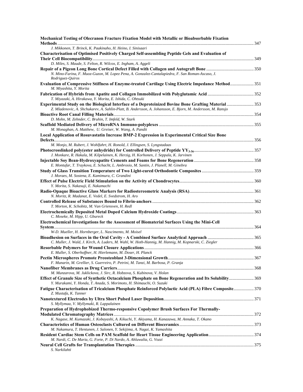| Mechanical Testing of Olecranon Fracture Fixation Model with Metallic or Bioabsorbable Fixation                                                                                                                      |  |
|----------------------------------------------------------------------------------------------------------------------------------------------------------------------------------------------------------------------|--|
| J. Mikkonen, T. Brinck, K. Paakinaho, H. Heino, I. Sinisaari                                                                                                                                                         |  |
| Characterisation of Optimised Positively Charged Self-assembling Peptide Gels and Evaluation of                                                                                                                      |  |
|                                                                                                                                                                                                                      |  |
| D. Miles, S. Maude, S. Felton, R. Wilcox, E. Ingham, A. Aggeli                                                                                                                                                       |  |
| N. Mino-Farina, F. Muoz-Guzon, M. Lopez Pena, A. Gonzalez-Cantalapiedra, F. San Roman-Ascaso, J.                                                                                                                     |  |
| Rodriguez-Quiros                                                                                                                                                                                                     |  |
| Evaluation of Compressive Stiffness of Enzyme-treated Cartilage Using Electric Impedance Method 351                                                                                                                  |  |
| M. Miyashita, Y. Morita                                                                                                                                                                                              |  |
|                                                                                                                                                                                                                      |  |
| T. Miyazaki, A. Hirakawa, Y. Morita, E. Ishida, C. Ohtsuki                                                                                                                                                           |  |
| Experimental Study on the Biological Interface of a Deproteinized Bovine Bone Grafting Material  353<br>Z. Mladenovic, A. Shchukarev, A. Sahlin-Platt, B. Andersson, A. Johansson, E. Bjorn, M. Andersson, M. Ransjo |  |
|                                                                                                                                                                                                                      |  |
| D. Mohn, M. Zehnder, C. Bruhin, T. Imfeld, W. Stark                                                                                                                                                                  |  |
|                                                                                                                                                                                                                      |  |
| M. Monaghan, A. Matthew, U. Greiser, W. Wang, A. Pandit                                                                                                                                                              |  |
| Local Application of Rosuvastatin Increase BMP-2 Expression in Experimental Critical Size Bone                                                                                                                       |  |
|                                                                                                                                                                                                                      |  |
| M. Monjo, M. Rubert, J. Wohlfahrt, H. Ronold, J. Ellingsen, S. Lyngstadaas                                                                                                                                           |  |
|                                                                                                                                                                                                                      |  |
| J. Monkare, R. Hakala, M. Kilpelainen, K. Herzig, H. Korhonen, J. Seppala, K. Jarvinen                                                                                                                               |  |
|                                                                                                                                                                                                                      |  |
| E. Montufar, T. Traykova, E. Schacht, L. Ambrosio, M. Santin, J. Planell, M. Ginebra                                                                                                                                 |  |
|                                                                                                                                                                                                                      |  |
| J. Moraes, M. Sostena, E. Kamimura, C. Grandini                                                                                                                                                                      |  |
|                                                                                                                                                                                                                      |  |
| Y. Morita, S. Nakasuji, E. Nakamachi                                                                                                                                                                                 |  |
|                                                                                                                                                                                                                      |  |
| N. Moritz, R. Madanat, E. Vedel, E. Svedstrom, H. Aro                                                                                                                                                                |  |
| T. Morton, K. Schobitz, M. Van Griensven, H. Redl                                                                                                                                                                    |  |
|                                                                                                                                                                                                                      |  |
| C. Moseke, M. Hipp, U. Gbureck                                                                                                                                                                                       |  |
| Electrochemical Investigations for the Assessment of Biomaterial Surfaces Using the Mini-Cell                                                                                                                        |  |
|                                                                                                                                                                                                                      |  |
| W-D. Mueller, H. Hornberger, L. Nascimento, M. Moisel                                                                                                                                                                |  |
|                                                                                                                                                                                                                      |  |
| C. Muller, J. Wald, J. Kirch, A. Luders, M. Wahl, W. Hoth-Hannig, M. Hannig, M. Kopnarski, C. Ziegler                                                                                                                |  |
|                                                                                                                                                                                                                      |  |
| E. Muller, S. Oberhoffner, H. Hierlemann, M. Doser, H. Planck                                                                                                                                                        |  |
|                                                                                                                                                                                                                      |  |
| F. Munarin, M. Grellier, S. Guerreiro, P. Petrini, M. Tanzi, M. Barbosa, P. Granja                                                                                                                                   |  |
|                                                                                                                                                                                                                      |  |
| M. Munzarova, M. Juklickova, J. Sirc, R. Hobzova, S. Kubinova, V. Holan<br>Effect of Granule Size of Synthetic Octacalcium Phosphate on Bone Regeneration and Its Solubility 369                                     |  |
| Y. Murakami, Y. Honda, T. Anada, S. Morimoto, H. Shimauchi, O. Suzuki                                                                                                                                                |  |
|                                                                                                                                                                                                                      |  |
| Z. Mustafa, K. Tanner                                                                                                                                                                                                |  |
|                                                                                                                                                                                                                      |  |
| S. Myllymaa, V. Myllymaki, R. Lappalainen                                                                                                                                                                            |  |
| Preparation of Hydrophobized Thermo-responsive Copolymer Brush Surfaces For Thermally-                                                                                                                               |  |
|                                                                                                                                                                                                                      |  |
| K. Nagase, M. Kumazaki, J. Kobayashi, A. Kikuchi, Y. Akiyama, H. Kanazawa, M. Annaka, T. Okano                                                                                                                       |  |
|                                                                                                                                                                                                                      |  |
| M. Nakamura, T. Hentunen, J. Salonen, Y. Sekijima, A. Nagai, K. Yamashita                                                                                                                                            |  |
|                                                                                                                                                                                                                      |  |
| M. Nardi, C. De Maria, G. Forte, P. Di Nardo, A. Ahluwalia, G. Vozzi                                                                                                                                                 |  |
| S. Narkilahti                                                                                                                                                                                                        |  |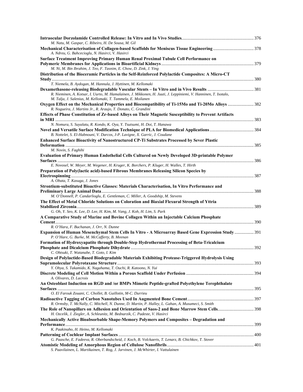| M. Natu, M. Gaspar, C. Ribeiro, H. De Sousa, M. Gil                                                                                                                                                                                 |  |
|-------------------------------------------------------------------------------------------------------------------------------------------------------------------------------------------------------------------------------------|--|
|                                                                                                                                                                                                                                     |  |
| A. Ndreu, G. Bahcecioglu, N. Hasirci, V. Hasirci                                                                                                                                                                                    |  |
| Surface Treatment Improving Primary Human Renal Proximal Tubule Cell Performance on                                                                                                                                                 |  |
| M. Ni, M. Bin Ibrahim, J. Teo, F. Tasnim, E. Chow, D. Zink, J. Ying                                                                                                                                                                 |  |
| Distribution of the Bioceramic Particles in the Self-Reinforced Polylactide Composites: A Micro-CT                                                                                                                                  |  |
| T. Niemela, B. Aydogan, M. Hannula, J. Hyttinen, M. Kellomaki                                                                                                                                                                       |  |
| R. Nieminen, A. Kotsar, I. Uurto, M. Hamalainen, J. Mikkonen, H. Juuti, J. Leppiniemi, V. Hanninen, T. Isotalo,                                                                                                                     |  |
| M. Talja, J. Salenius, M. Kellomaki, T. Tammela, E. Moilanen<br>Oxygen Effect on the Mechanical Properties and Biocompatibility of Ti-15Mo and Ti-20Mo Alloys 382<br>R. Nogueira, J. Martins Jr., R. Araujo, T. Donato, C. Grandini |  |
| Effects of Phase Constitution of Zr-based Alloys on Their Magnetic Susceptibility to Prevent Artifacts                                                                                                                              |  |
|                                                                                                                                                                                                                                     |  |
| N. Nomura, S. Suyalatu, R. Kondo, K. Oya, Y. Tsutsumi, H. Doi, T. Hanawa                                                                                                                                                            |  |
| B. Nottelet, S. El-Habnouni, V. Darcos, J-P. Lavigne, X. Garric, J. Coudane                                                                                                                                                         |  |
| Enhanced Surface Bioactivity of Nanostructured CP-Ti Substrates Processed by Sever Plastic                                                                                                                                          |  |
|                                                                                                                                                                                                                                     |  |
| M. Novin, S. Faghihi<br>Evaluation of Primary Human Endothelial Cells Cultured on Newly Developed 3D-printable Polymer                                                                                                              |  |
| E. Novosel, W. Meyer, M. Wegener, H. Kruger, K. Borchers, P. Kluger, H. Walles, T. Hirth                                                                                                                                            |  |
| Preparation of Poly(lactic acid)-based Fibrous Membranes Releasing Silicon Species by                                                                                                                                               |  |
| A. Obata, T. Kasuga, J. Jones                                                                                                                                                                                                       |  |
| Strontium-substituted Bioactive Glasses: Materials Characterisation, In Vitro Performance and                                                                                                                                       |  |
| M. O'Donnell, P. Candarlioglu, E. Gentleman, C. Miller, A. Goodship, M. Stevens                                                                                                                                                     |  |
| The Effect of Metal Chloride Solutions on Coloration and Biaxial Flexural Strength of Yttria                                                                                                                                        |  |
| G. Oh, Y. Seo, K. Lee, D. Lee, H. Kim, M. Vang, J. Koh, H. Lim, S. Park                                                                                                                                                             |  |
| A Comparative Study of Marine and Bovine Collagen Within an Injectable Calcium Phosphate                                                                                                                                            |  |
|                                                                                                                                                                                                                                     |  |
| R. O'Hara, F. Buchanan, J. Orr, N. Dunne                                                                                                                                                                                            |  |
| Expansion of Human Mesenchymal Stem Cells In Vitro - A Microarray Based Gene Expression Study  391<br>P. O'Hare, G. Burke, M. McCafferty, B. Meenan                                                                                 |  |
| Formation of Hydroxyapatite through Double-Step Hydrothermal Processing of Beta-Tricalcium                                                                                                                                          |  |
| C. Ohtsuki, T. Watanabe, T. Goto, I. Kim                                                                                                                                                                                            |  |
| Design of Polylactide-Based Biodegradable Materials Exhibiting Protease-Triggered Hydrolysis Using                                                                                                                                  |  |
| Y. Ohya, S. Takamido, K. Nagahama, T. Ouchi, R. Katoono, N. Yui                                                                                                                                                                     |  |
| A. Olivares, D. Lacroix                                                                                                                                                                                                             |  |
| An Osteoblast Induction on RGD and /or BMPs Mimetic Peptide-grafted Polyethylene Terephthalate                                                                                                                                      |  |
| O. El Farouk Zouani, C. Chollet, B. Guillotin, M-C. Durrieu                                                                                                                                                                         |  |
|                                                                                                                                                                                                                                     |  |
| R. Ormsby, T. McNally, C. Mitchell, N. Dunne, D. Martin, P. Halley, L. Gahan, A. Musumeci, S. Smith                                                                                                                                 |  |
| The Role of Nanopillars on Adhesion and Orientation of Saos-2 and Bone Marrow Stem Cells398<br>H. Ozcelik, J. Ziegler, A. Schleunitz, M. Bednarzik, C. Padeste, V. Hasirci                                                          |  |
| Mechanically Active Bioabsorbable Shape-Memory Polymers and Composites - Degradation and                                                                                                                                            |  |
|                                                                                                                                                                                                                                     |  |
| K. Paakinaho, H. Heino, M. Kellomaki                                                                                                                                                                                                |  |
| G. Paasche, E. Fadeeva, R. Oberbandscheid, J. Koch, B. Volckaerts, T. Lenarz, B. Chichkov, T. Stover                                                                                                                                |  |
|                                                                                                                                                                                                                                     |  |
| S. Paavilainen, L. Martikainen, T. Rog, J. Jarvinen, J. McWhirter, I. Vattulainen                                                                                                                                                   |  |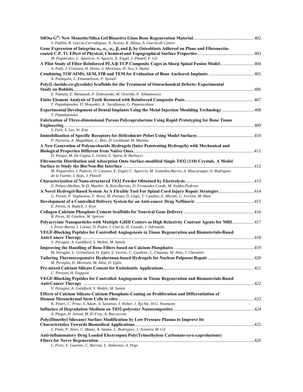| S. Padilla, R. Garcia-Carrodeguas, N. Acosta, R. Alloza, A. Garcia-de Castro                                                                                                     |  |
|----------------------------------------------------------------------------------------------------------------------------------------------------------------------------------|--|
| Gene Expression of Integrins $a_5, a_5, a_6, a_5, \beta_1$ and $\beta_3$ by Osteoblasts Adhered on Plane and Fibronectin-                                                        |  |
| M. Pegueroles, C. Aparicio, A. Aguirre, E. Engel, J. Planell, F. Gil                                                                                                             |  |
| A Pilot Study of Fiber Reinforced PLA/ß-TCP Composite Cages in Sheep Spinal Fusion Model 404<br>A. Palli, J. Frantzen, H. Heino, S. Miettinen, H. Aro, S. Haimi                  |  |
|                                                                                                                                                                                  |  |
| A. Palmquist, L. Emanuelsson, P. Sjovall                                                                                                                                         |  |
| Poly(L-lactide-co-glycolide) Scaffolds for the Treatment of Osteochondral Defects: Experimental                                                                                  |  |
|                                                                                                                                                                                  |  |
| E. Pamula, E. Menaszek, P. Dobrzynski, M. Orzelski, P. Silmanowicz                                                                                                               |  |
|                                                                                                                                                                                  |  |
| T. Papadopoulos, D. Mouzakis, A. Sarafianou, G. Papanicolaou                                                                                                                     |  |
| T. Papadopoulos                                                                                                                                                                  |  |
| Fabrication of Three-dimensional Porous Polycaprolactone Using Rapid Prototyping for Bone Tissue                                                                                 |  |
|                                                                                                                                                                                  |  |
| S. Park, S. Lee, W. Kim                                                                                                                                                          |  |
| P. Parreira, A. Magalhaes, C. Reis, D. Leckband, M. Martins                                                                                                                      |  |
| A New Generation of Polysaccharide Hydrogels (Inter Penetrating Hydrogels) with Mechanical and                                                                                   |  |
|                                                                                                                                                                                  |  |
| D. Pasqui, M. De Cagna, L. Golini, E. Spera, R. Barbucci                                                                                                                         |  |
| Fibronectin Distribution and Adsorption Onto Surface-modified Single TiO2 (110) Crystals. A Model                                                                                |  |
|                                                                                                                                                                                  |  |
| M. Pegueroles, I. Palacio, O. Castano, E. Engel, C. Aparicio, M. Gonzalez-Barrio, A. Mascaraque, O. Rodriguez<br>de la Fuente, J. Rojo, J. Planell                               |  |
|                                                                                                                                                                                  |  |
| E. Pelaez-Abellan, W-D. Mueller, A. Ruiz-Barreto, D. Fernandez-Conde, M. Valdes-Pedroso                                                                                          |  |
| 414 A Novel Hydrogel-Based System As A Flexible Tool For Spinal Cord Injury Repair Strategies 414                                                                                |  |
| G. Perale, P. Veglianese, F. Rossi, M. Peviani, D. Llupi, T. Casalini, E. Micotti, G. Forloni, M. Masi                                                                           |  |
| E. Perets, A. Rudich, J. Kost                                                                                                                                                    |  |
|                                                                                                                                                                                  |  |
| R. Perez, M. Ginebra, M. Spector                                                                                                                                                 |  |
| Polyacrylate Nanoparticles with Multiple GdIII Centers as High Relaxivity Contrast Agents for MRI 417<br>I. Perez-Baena, I. Loinaz, D. Padro, I. Garcia, H. Grande, I. Odriozola |  |
| VEGF-Blocking Peptides for Controlled Angiogenesis in Tissue Regeneration and Biomaterials-Based                                                                                 |  |
| V. Perugini, A. Guildford, S. Meikle, M. Santin                                                                                                                                  |  |
|                                                                                                                                                                                  |  |
| M. Peroglio, L. Gremillard, D. Eglin, S. Verrier, C. Gauthier, L. Chazeau, M. Alini, J. Chevalier                                                                                |  |
|                                                                                                                                                                                  |  |
| M. Peroglio, D. Mortisen, M. Alini, D. Eglin                                                                                                                                     |  |
|                                                                                                                                                                                  |  |
| C. Persson, H. Engqvist                                                                                                                                                          |  |
| VEGF-Blocking Peptides for Controlled Angiogenesis in Tissue Regeneration and Biomaterials-Based                                                                                 |  |
|                                                                                                                                                                                  |  |
| V. Perugini, A. Guildford, S. Meikle, M. Santin                                                                                                                                  |  |
| Effects of Calcium Silicate-Calcium Phosphate-Coating on Proliferation and Differentiation of                                                                                    |  |
|                                                                                                                                                                                  |  |
| K. Peters, C. Prinz, S. Adam, A. Salamon, J. Weber, J. Rychly, H-G. Neumann                                                                                                      |  |
|                                                                                                                                                                                  |  |
| A. Piegat, H. Jawad, M. El Fray, A. Boccaccini                                                                                                                                   |  |
| Poly(Dimethyl Siloxane) Surface Modification by Low Pressure Plasma to Improve Its                                                                                               |  |
| S. Pinto, P. Alves, C. Matos, A. Santos, L. Rodrigues, J. Teixeira, M. Gil                                                                                                       |  |
|                                                                                                                                                                                  |  |
| Anti-inflammatory Drug Loaded Electrospun Poly(Trimethylene Carbonate-co-E-caprolactone)                                                                                         |  |
| L. Pires, V. Guarino, C. Barrias, L. Ambrosio, A. Pego                                                                                                                           |  |
|                                                                                                                                                                                  |  |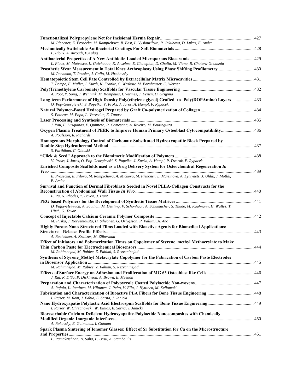| M. Plencner, E. Prosecka, M. Rampichova, B. East, L. Vyslouzilova, R. Jakubova, D. Lukas, E. Amler                                                                             |     |
|--------------------------------------------------------------------------------------------------------------------------------------------------------------------------------|-----|
| L. Ploux, A. Airoudj, E.Kulag                                                                                                                                                  |     |
| L. Ploux, M. Mateescu, L. Guichaoua, K. Anselme, E. Champion, D. Chulia, M. Viana, R. Chotard-Ghodsnia                                                                         |     |
| Prosthetic Wear Measurement in Total Knee Arthroplasty Using Phase Shifting Profilometry 430<br>M. Pochmon, T. Rossler, J. Gallo, M. Hrabovsky                                 |     |
|                                                                                                                                                                                |     |
| T. Pompe, E. Muller, I. Kurth, K. Franke, C. Waskow, M. Bornhauser, C. Werner                                                                                                  |     |
| A. Poot, Y. Song, J. Wennink, M. Kamphuis, I. Vermes, J. Feijen, D. Grijpma                                                                                                    |     |
| Long-term Performance of High-Density Poly(ethylene glycol) Grafted -to- Poly(DOPAmine) Layers 433<br>O. Pop-Georgievski, S. Popelka, V. Proks, J. Jaros, A. Hampl, F. Rypacek |     |
| S. Potorac, M. Popa, L. Verestiuc, E. Tanase                                                                                                                                   |     |
|                                                                                                                                                                                |     |
| J. Pou, F. Lusquinos, F. Quintero, R. Comesana, A. Riveiro, M. Boutinguiza                                                                                                     |     |
| Oxygen Plasma Treatment of PEEK to Improve Human Primary Osteoblast Cytocompatibility 436<br>A. Poulsson, R. Richards                                                          |     |
| Homogenous Morphology Control of Carbonate-Substituted Hydroxyapatite Block Prepared by                                                                                        |     |
| S. Parthiban, C. Ohtuski                                                                                                                                                       |     |
|                                                                                                                                                                                |     |
| V. Proks, J. Jaros, O. Pop-Georgievski, S. Popelka, J. Kucka, A. Hampl, P. Dvorak, F. Rypacek                                                                                  |     |
| Enriched Composite Scaffolds used as a Drug Delivery System for Osteochondral Regeneration In                                                                                  |     |
| E. Prosecka, E. Filova, M. Rampichova, A. Mickova, M. Plencner, L. Martinova, A. Lytvynets, J. Uhlik, J. Motlik,<br>E. Amler                                                   |     |
| Survival and Function of Dermal Fibroblasts Seeded in Novel PLLA-Collagen Constructs for the                                                                                   |     |
|                                                                                                                                                                                |     |
| F. Pu, N. Rhodes, Y. Bayon, J. Hunt                                                                                                                                            |     |
| D. Pufky-Heinrich, A. Southan, M. Dettling, V. Schonhaar, A. Schumacher, S. Thude, M. Kaufmann, H. Walles, T.<br>Hirth, G. Tovar                                               |     |
| M. Puska, J. Korventausta, H. Sihvonen, G. Orlygsson, P. Vallittu, A. Aho                                                                                                      |     |
| Highly Porous Nano-Structured Films Loaded with Bioactive Agents for Biomedical Applications:                                                                                  |     |
| A. Rachelson, A. Kraitzer, M. Zilberman                                                                                                                                        |     |
| Effect of Initiators and Polymerization Times on Copolymer of Styrene_methyl Methacrylate to Make                                                                              |     |
|                                                                                                                                                                                | 444 |
| M. Rahimnejad, M. Rabiee, Z. Fahimi, S. Rezvaninejad                                                                                                                           |     |
| Synthesis of Styrene_Methyl Metacrylate Copolymer for the Fabrication of Carbon Paste Electrodes                                                                               |     |
| M. Rahimnejad, M. Rabiee, Z. Fahimi, S. Rezvaninejad                                                                                                                           |     |
| J. Raj, R. D'Sa, P. Dickinson, A. Brown, B. Meenan                                                                                                                             |     |
|                                                                                                                                                                                |     |
| A. Rajala, L. Jaatinen, M. Hiltunen, J. Pelto, V. Ella, J. Hyttinen, M. Kellomaki                                                                                              |     |
| I. Rajzer, M. Rom, J. Fabia, E. Sarna, J. Janicki                                                                                                                              |     |
| Nano Hydroxyapatie Polylactic Acid Electrospun Scaffolds for Bone Tissue Engineering 449<br>I. Rajzer, W. Chrzanowski, W. Binias, E. Sarna, J. Janicki                         |     |
| Bioresorbable Calcium-Deficient Hydroxyapatite-Polylactide Nanocomposites with Chemically                                                                                      |     |
|                                                                                                                                                                                |     |
| A. Rakovsky, E. Gutmanas, I. Gotman                                                                                                                                            |     |
| Spark Plasma Sintering of Ionomer Glasses: Effect of Sr Substitution for Ca on the Microstructure                                                                              |     |
| P. Ramakrishnan, N. Saha, B. Basu, A. Stamboulis                                                                                                                               |     |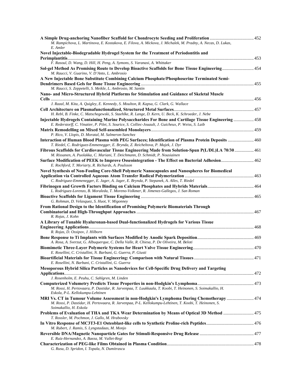| A Simple Drug-anchoring Nanofiber Scaffold for Chondrocyte Seeding and Proliferation  452<br>M. Rampichova, L. Martinova, E. Kostakova, E. Filova, A. Mickova, J. Michalek, M. Pradny, A. Necas, D. Lukas,<br>E. Amler        |  |
|-------------------------------------------------------------------------------------------------------------------------------------------------------------------------------------------------------------------------------|--|
| Novel Injectable-Biodegradable Hydrogel System for the Treatment of Periodontitis and                                                                                                                                         |  |
| F. Rasoul, D. Wang, D. Hill, H. Peng, A. Symons, S. Varanasi, A. Whittaker                                                                                                                                                    |  |
| Sol-gel Method As Promising Route to Develop Bioactive Scaffolds for Bone Tissue Engineering 454<br>M. Raucci, V. Guarino, V. D'Anto, L. Ambrosio                                                                             |  |
| A New Injectable Bone Substitute Combining Calcium Phosphate/Phosphoserine Terminated Semi-                                                                                                                                   |  |
| M. Raucci, S. Zeppetelli, S. Meikle, L. Ambrosio, M. Santin<br>Nano- and Micro-Structured Hybrid Platforms for Stimulation and Guidance of Skeletal Muscle                                                                    |  |
| J. Razal, M. Kita, A. Quigley, E. Kennedy, S. Moulton, R. Kapsa, G. Clark, G. Wallace                                                                                                                                         |  |
| H. Rebl, B. Finke, C. Matschegewski, S. Staehlke, R. Lange, D. Kern, U. Beck, K. Schroeder, J. Nebe                                                                                                                           |  |
| Injectable Hydrogels Containing Marine Polysaccharides For Bone and Cartilage Tissue Engineering  458<br>E. Rederstorff, C. Vinatier, P. Pilet, S. Sourice, S. Colliec-Jouault, J. Guicheux, P. Weiss, S. Laib                |  |
| P. Rico, V. Llopis, D. Moratal, M. Salmeron-Sanchez                                                                                                                                                                           |  |
| Interaction of Human Blood Plasma with PEG Surfaces; Identification of Plasma Protein Deposits  460<br>T. Riedel, C. Rodriguez-Emmenegger, E. Brynda, Z. Reicheltova, P. Majek, J. Dyr                                        |  |
| Fibrous Scaffolds for Cardiovascular Tissue Engineering Made from Solution-Spun P(L/DL)LA 70/30  461<br>M. Rissanen, A. Puolakka, C. Mariani, T. Deichmann, D. Schmidt, P. Nousiainen                                         |  |
| Surface Modification of PEEK to Improve Osseointegration - The Effect on Bacterial Adhesion 462<br>E. Rochford, T. Moriarty, R. Richards, A. Poulsson                                                                         |  |
| Novel Synthesis of Non-Fouling Core-Shell Polymeric Nanocapsules and Nanospheres for Biomedical                                                                                                                               |  |
| C. Rodriguez-Emmenegger, E. Jager, A. Jager, E. Brynda, P. Stepanek, A. Alles, T. Riedel                                                                                                                                      |  |
| L. Rodriguez-Lorenzo, B. Moraleda, T. Moreno-Volkmer, R. Jimenez-Gallegos, J. San Roman                                                                                                                                       |  |
| G. Rohman, D. Velasquez, S. Huot, V. Migonney                                                                                                                                                                                 |  |
| From Rational Design to the Identification of Promising Polymeric Biomaterials Through<br>R. Rojas, J. Kohn                                                                                                                   |  |
| A Library of Tunable Hyaluronan-based Dual-functionalized Hydrogels for Various Tissue                                                                                                                                        |  |
| R. Rojas, D. Ossipov, J. Hilborn                                                                                                                                                                                              |  |
| A. Rosa, A. Sverzut, G. Albuquerque, C. Della Valle, R. Chiesa, P. De Oliveira, M. Beloti                                                                                                                                     |  |
| E. Rosellini, C. Cristallini, N. Barbani, G. Guerra, P. Giusti                                                                                                                                                                |  |
| E. Rosellini, N. Barbani, C. Cristallini, G. Guerra                                                                                                                                                                           |  |
| Mesoporous Hybrid Silica Particles as Nanodevices for Cell-Specific Drug Delivery and Targeting                                                                                                                               |  |
| J. Rosenholm, E. Peuhu, C. Sahlgren, M. Linden                                                                                                                                                                                |  |
| M. Rossi, H. Pertovaara, P. Dastidar, R. Jarvenpaa, T. Luukkaala, T. Koobi, T. Heinonen, S. Soimakallio, H.<br>Eskola, P-L. Kellokumpu-Lehtinen                                                                               |  |
| 174 MRI Vs. CT in Tumour Volume Assessment in non-Hodgkin's Lymphoma During Chemotherapy<br>M. Rossi, P. Dastidar, H. Pertovaara, R. Jarvenpaa, P-L. Kellokumpu-Lehtinen, T. Koobi, T. Heinonen, S.<br>Soimakallio, H. Eskola |  |
| Problems of Evaluation of THA and TKA Wear Determination by Means of Optical 3D Method  475<br>T. Rossler, M. Pochmon, J. Gallo, M. Hrabovsky                                                                                 |  |
| M. Rubert, J. Ramis, S. Lyngstadaas, M. Monjo                                                                                                                                                                                 |  |
| E. Ruiz-Hernandez, A. Baeza, M. Vallet-Regi                                                                                                                                                                                   |  |
| G. Rusu, D. Spridon, I. Topala, N. Dumitrascu                                                                                                                                                                                 |  |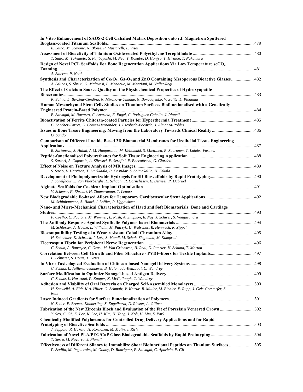| In Vitro Enhancement of SAOS-2 Cell Calcified Matrix Deposition onto r.f. Magnetron Sputtered                                                                                                                                        |  |
|--------------------------------------------------------------------------------------------------------------------------------------------------------------------------------------------------------------------------------------|--|
| E. Saino, M. Scavone, N. Bloise, P. Mustarelli, L. Visai                                                                                                                                                                             |  |
|                                                                                                                                                                                                                                      |  |
| T. Saito, M. Takemoto, S. Fujibayashi, M. Neo, T. Kokubo, D. Honjyo, T. Hiraide, T. Nakamura                                                                                                                                         |  |
| Design of Novel PCL Scaffolds For Bone Regeneration Applications Via Low Temperature scCO <sub>2</sub>                                                                                                                               |  |
|                                                                                                                                                                                                                                      |  |
| A. Salerno, P. Netti                                                                                                                                                                                                                 |  |
| Synthesis and Characterization of Ce <sub>2</sub> O <sub>3</sub> , Ga <sub>2</sub> O <sub>3</sub> and ZnO Containing Mesoporous Bioactive Glasses 482<br>A. Salinas, S. Shruti, G. Malavasi, L. Menabue, M. Menziani, M. Vallet-Regi |  |
| The Effect of Calcium Source Quality on the Physiochemical Properties of Hydroxyapatite                                                                                                                                              |  |
|                                                                                                                                                                                                                                      |  |
| K. Salma, L. Berzina-Cimdina, N. Mironova-Ulmane, N. Borodajenko, V. Zalite, L. Pluduma                                                                                                                                              |  |
| Human Mesenchymal Stem Cells Studies on Titanium Surfaces Biofunctionalised with a Genetically-                                                                                                                                      |  |
|                                                                                                                                                                                                                                      |  |
| E. Salvagni, M. Navarro, C. Aparicio, E. Engel, C. Rodriguez-Cabello, J. Planell                                                                                                                                                     |  |
| C. Sanchez-Torres, D. Cortes-Hernandez, J. Escobedo-Bocardo, J. Almanza-Robles                                                                                                                                                       |  |
| Issues in Bone Tissue Engineering: Moving from the Laboratory Towards Clinical Reality  486                                                                                                                                          |  |
| G. Sandor                                                                                                                                                                                                                            |  |
| <b>Comparison of Different Lactide Based 2D Biomaterial Membranes for Urothelial Tissue Engineering</b>                                                                                                                              |  |
|                                                                                                                                                                                                                                      |  |
| R. Sartoneva, S. Haimi, A-M. Haaparanta, M. Kellomaki, S. Miettinen, R. Suuronen, T. Lahdes-Vasama                                                                                                                                   |  |
|                                                                                                                                                                                                                                      |  |
| S. Sartori, A. Caporale, A. Silvestri, P. Serafini, F. Boccafoschi, G. Ciardelli                                                                                                                                                     |  |
|                                                                                                                                                                                                                                      |  |
| S. Savio, L. Harrison, T. Luukkaala, P. Dastidar, S. Soimakallio, H. Eskola                                                                                                                                                          |  |
|                                                                                                                                                                                                                                      |  |
| J. Schelfhout, S. Van Vlierberghe, E. Schacht, R. Cornelissen, E. Berneel, P. Dubruel                                                                                                                                                |  |
|                                                                                                                                                                                                                                      |  |
| V. Scheper, F. Ehrhart, H. Zimmermann, T. Lenarz                                                                                                                                                                                     |  |
|                                                                                                                                                                                                                                      |  |
| M. Schinhammer, A. Hanzi, J. Loffler, P. Uggowitzer                                                                                                                                                                                  |  |
| Nano- and Micro-Mechanical Characterization of Hard and Soft Biomaterials: Bone and Cartilage                                                                                                                                        |  |
| P. Coelho, C. Pacione, M. Wimmer, L. Rush, A. Simpson, R. Nay, J. Schirer, S. Vengasandra                                                                                                                                            |  |
|                                                                                                                                                                                                                                      |  |
| M. Schlosser, A. Hoene, L. Wilhelm, M. Patrzyk, U. Walschus, R. Hennrich, R. Zippel                                                                                                                                                  |  |
|                                                                                                                                                                                                                                      |  |
| H. Schneider, K. Schrock, J. Lutz, S. Mandl, M. Schulz-Siegmund, M. Kamprad                                                                                                                                                          |  |
|                                                                                                                                                                                                                                      |  |
| C. Schuh, A. Banerjee, C. Grasl, M. Van Griensven, H. Redl, D. Runzler, H. Schima, T. Morton                                                                                                                                         |  |
|                                                                                                                                                                                                                                      |  |
| P. Schuster, S. Houis, T. Gries                                                                                                                                                                                                      |  |
|                                                                                                                                                                                                                                      |  |
| C. Schutz, L. Juillerat-Jeanneret, B. Halamoda-Kenzaoui, C. Wandrey                                                                                                                                                                  |  |
|                                                                                                                                                                                                                                      |  |
| C. Schutz, L. Harwood, P. Kauper, K. McCullough, C. Wandrey                                                                                                                                                                          |  |
|                                                                                                                                                                                                                                      |  |
| H. Schweikl, A. Eidt, K-A. Hiller, G. Schmalz, V. Katzur, R. Muller, M. Eichler, F. Rupp, J. Geis-Gerstorfer, S.<br>Ruhl                                                                                                             |  |
|                                                                                                                                                                                                                                      |  |
| N. Seiler, E. Bremus-Kobberling, S. Engelhardt, D. Riester, A. Gillner                                                                                                                                                               |  |
| Fabrication of the New Zirconia Block and Evaluation of the Fit of Porcelain Veneered Crown 502                                                                                                                                      |  |
| Y. Seo, G. Oh, K. Lee, K. Lee, H. Kim, H. Yang, J. Koh, H. Lim, S. Park                                                                                                                                                              |  |
| <b>Chemically Modified Polylactones for Controlled Drug Delivery Applications and for Rapid</b>                                                                                                                                      |  |
|                                                                                                                                                                                                                                      |  |
| J. Seppala, R. Hakala, H. Korhonen, M. Malin, J. Rich                                                                                                                                                                                |  |
| Fabrication of Novel PLA/PEG/CaP Glass Biodegradable Scaffolds by Rapid Prototyping504                                                                                                                                               |  |
| T. Serra, M. Navarro, J. Planell                                                                                                                                                                                                     |  |
| Effectiveness of Different Silanes to Immobilize Short Biofunctional Peptides on Titanium Surfaces 505                                                                                                                               |  |
| P. Sevilla, M. Pegueroles, M. Godoy, D. Rodriguez, E. Salvagni, C. Aparicio, F. Gil                                                                                                                                                  |  |
|                                                                                                                                                                                                                                      |  |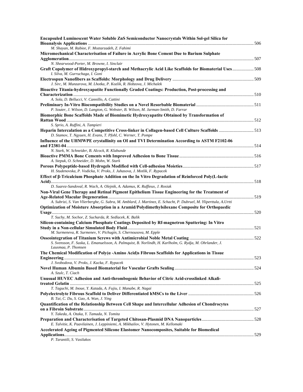| Encapsuled Luminescent Water Soluble ZnS Semiconductor Nanocrystals Within Sol-gel Silica for                                                                     |  |
|-------------------------------------------------------------------------------------------------------------------------------------------------------------------|--|
| M. Shayan, M. Rabiee, F. Moztarzadeh, Z. Fahimi                                                                                                                   |  |
| Micromechanical Characterisation of Failure in Acrylic Bone Cement Due to Barium Sulphate                                                                         |  |
| N. Shearwood-Porter, M. Browne, I. Sinclair                                                                                                                       |  |
| Graft Copolymer of Hidroxypropyl-starch and Methacrylic Acid Like Scaffolds for Biomaterial Uses508<br>I. Silva, M. Gurruchaga, I. Goni                           |  |
| J. Sirc, M. Munzarova, M. Lhotka, P. Kozlik, R. Hobzova, J. Michalek                                                                                              |  |
| Bioactive Titania-hydroxyapatite Functionally Graded Coatings: Production, Post-processing and                                                                    |  |
| A. Sola, D. Bellucci, V. Cannillo, A. Cattini                                                                                                                     |  |
| P. Souter, J. Wilson, D. Langton, G. Webster, B. Wilson, M. Jarman-Smith, D. Farrar                                                                               |  |
| Biomorphic Bone Scaffolds Made of Biomimetic Hydroxyapatite Obtained by Transformation of                                                                         |  |
| S. Sprio, A. Ruffini, A. Tampieri                                                                                                                                 |  |
| Heparin Intercalation as a Competitive Cross-linker in Collagen-based Cell Culture Scaffolds 513<br>D. Stamov, T. Ngyuen, H. Evans, T. Pfohl, C. Werner, T. Pompe |  |
| Influence of the UHMWPE crystallinity on OI and TVI Determination According to ASTM F2102-06                                                                      |  |
| N. Stark, W. Schneider, B. Alcock, R. Klabunde                                                                                                                    |  |
| A. Stepuk, O. Schneider, D. Mohn, W. Stark                                                                                                                        |  |
| H. Studenovska, P. Vodicka, V. Proks, J. Juhasova, J. Motlik, F. Rypacek                                                                                          |  |
| Effect of β-Tricalcium Phosphate Addition on the In Vitro Degradation of Reinforced Poly(L-lactic                                                                 |  |
| D. Suarez-Sandoval, R. Wach, A. Olejnik, A. Adamus, K. Ruffieux, J. Rosiak                                                                                        |  |
| Non-Viral Gene Therapy and Retinal Pigment Epithelium Tissue Engineering for the Treatment of                                                                     |  |
| A. Subrizi, S. Van Vlierberghe, G. Subra, M. Amblard, J. Martinez, E. Schacht, P. Dubruel, M. Yliperttula, A.Urtti                                                |  |
| Optimization of Moisture Absorption in a Aramid/Polydimethylsiloxane Composite for Orthopaedic                                                                    |  |
| T. Suchy, M. Sochor, Z. Sucharda, R. Sedlacek, K. Balik                                                                                                           |  |
| Silicon-containing Calcium Phosphate Coatings Deposited by Rf-magnetron Sputtering: In Vitro                                                                      |  |
| M. Surmeneva, R. Surmenev, V. Pichugin, S. Chernousova, M. Epple                                                                                                  |  |
| S. Svensson, F. Suska, L. Emanuelsson, A. Palmquist, B. Norlindh, H. Karlholm, G. Rydja, M. Ohrlander, J.<br>Lausmaa, P. Thomsen                                  |  |
| The Chemical Modification of $Poly(\alpha - Amino \text{ Acid})s$ Fibrous Scaffolds for Applications in Tissue                                                    |  |
|                                                                                                                                                                   |  |
| J. Svobodova, V. Proks, J. Kucka, F. Rypacek                                                                                                                      |  |
| A. Szulc, T. Ciach                                                                                                                                                |  |
| Unusual HUVEC Adhesion and Anti-thrombogenic Behavior of Citric Acid-crosslinked Alkali-                                                                          |  |
| T. Taguchi, M. Inoue, Y. Katada, A. Fujiu, I. Manabe, R. Nagai                                                                                                    |  |
| B. Tai, C. Du, S. Gao, A. Wan, J. Ying                                                                                                                            |  |
| Quantification of the Relationship Between Cell Shape and Intercellular Adhesion of Chondrocytes                                                                  |  |
| Y. Takeda, A. Otaka, Y. Tamada, N. Tomita                                                                                                                         |  |
|                                                                                                                                                                   |  |
| E. Talvitie, K. Paavilainen, J. Leppiniemi, A. Mikhailov, V. Hytonen, M. Kellomaki                                                                                |  |
| Accelerated Ageing of Pigmented Silicone Elastomer Nanocomposites, Suitable for Biomedical                                                                        |  |
| P. Tarantili, S. Vasilakos                                                                                                                                        |  |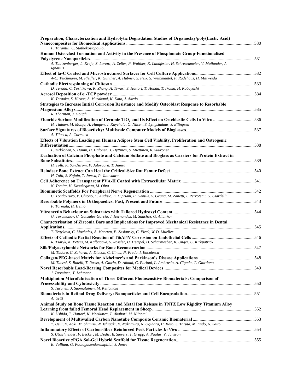| Preparation, Characterization and Hydrolytic Degradation Studies of Organoclay/poly(Lactic Acid)                                   |  |
|------------------------------------------------------------------------------------------------------------------------------------|--|
| P. Tarantili, C. Stathokostopoulou                                                                                                 |  |
| Human Osteoclast Formation and Activity in the Presence of Phosphonate Group-Functionalised                                        |  |
| A. Tautzenberger, L. Kreja, S. Lorenz, A. Zeller, P. Walther, K. Landfester, H. Schrezenmeier, V. Mailander, A.<br><i>Ignatius</i> |  |
|                                                                                                                                    |  |
| A-C. Teichmann, M. Pfeiffer, K. Gunther, A. Hubner, S. Feik, S. Weibmantel, P. Radehaus, H. Mittweida                              |  |
|                                                                                                                                    |  |
| D. Terada, C. Yoshikawa, K. Zhang, A. Tiwari, S. Hattori, T. Honda, T. Ikoma, H. Kobayashi                                         |  |
|                                                                                                                                    |  |
| K. Teraoka, S. Hirose, S. Murakami, K. Kato, J. Akedo                                                                              |  |
| <b>Strategies to Increase Initial Corrosion Resistance and Modify Osteoblast Response to Resorbable</b>                            |  |
|                                                                                                                                    |  |
| R. Thornton, J. Gough                                                                                                              |  |
| Fluoride Surface Modification of Ceramic TiO <sub>2</sub> and Its Effect on Osteblastic Cells In Vitro 536                         |  |
| H. Tiainen, M. Monjo, H. Haugen, J. Knychala, O. Nilsen, S. Lyngstadaas, J. Ellingsen                                              |  |
| A. Tilocca, A. Cormack                                                                                                             |  |
| Effects of Vibration Loading on Human Adipose Stem Cell Viability, Proliferation and Osteogenic                                    |  |
|                                                                                                                                    |  |
| L. Tirkkonen, S. Haimi, H. Halonen, J. Hyttinen, S. Miettinen, R. Suuronen                                                         |  |
| Evaluation of Calcium Phosphate and Calcium Sulfate and Bioglass as Carriers for Protein Extract in                                |  |
|                                                                                                                                    |  |
| H. Tolli, K. Sandstrom, P. Jalovaara, T. Jamsa                                                                                     |  |
| H. Tolli, S. Kujala, T. Jamsa, P. Jalovaara                                                                                        |  |
|                                                                                                                                    |  |
| N. Tomita, H. Kosukegawa, M. Ohta                                                                                                  |  |
|                                                                                                                                    |  |
| C. Tonda-Turo, V. Chiono, C. Audisio, E. Cipriani, P. Gentile, S. Geuna, M. Zanetti, I. Perroteau, G. Ciardelli                    |  |
|                                                                                                                                    |  |
| P. Tormala, H. Heino                                                                                                               |  |
|                                                                                                                                    |  |
| G. Toromanov, C. Gonzalez-Garcia, J. Hernandez, M. Sanchez, G. Altankov                                                            |  |
| <b>Characterisation of Zirconia Bars and Implications for Improved Mechanical Resistance in Dental</b>                             |  |
|                                                                                                                                    |  |
| T. Traykova, C. Mochales, A. Maerten, P. Zaslansky, C. Fleck, W-D. Mueller                                                         |  |
| R. Tsaryk, K. Peters, M. Kalbacova, S. Rossler, U. Hempel, D. Scharnweber, R. Unger, C. Kirkpatrick                                |  |
|                                                                                                                                    |  |
| M. Tudora, C. Zaharia, A. Diacon, C. Cincu, N. Preda, I. Enculescu                                                                 |  |
|                                                                                                                                    |  |
| M. Tunesi, S. Batelli, T. Russo, A. Gloria, D. Albani, G. Forloni, L. Ambrosio, A. Cigada, C. Giordano                             |  |
|                                                                                                                                    |  |
| J. Tuominen, T. Lehtonen                                                                                                           |  |
| Multiphoton Microfabrication of Three Different Photosensitive Biomaterials: Comparison of                                         |  |
|                                                                                                                                    |  |
| S. Turunen, J. Suomalainen, M. Kellomaki                                                                                           |  |
| A. Urtti                                                                                                                           |  |
| Animal Study on Bone Tissue Reaction and Metal Ion Release in TNTZ Low Rigidity Titanium Alloy                                     |  |
|                                                                                                                                    |  |
| K. Ushida, T. Hattori, K. Morikawa, T. Akahori, M. Niinomi                                                                         |  |
|                                                                                                                                    |  |
| Y. Usui, K. Aoki, M. Shimizu, N. Ishigaki, K. Nakamura, N. Ogihara, H. Kato, S. Taruta, M. Endo, N. Saito                          |  |
|                                                                                                                                    |  |
| S. Utzschneider, F. Becker, M. Dedic, B. Sievers, T. Grupp, A. Paulus, V. Jansson                                                  |  |
|                                                                                                                                    |  |
| E. Valliant, G. Poologasundarampillai, J. Jones                                                                                    |  |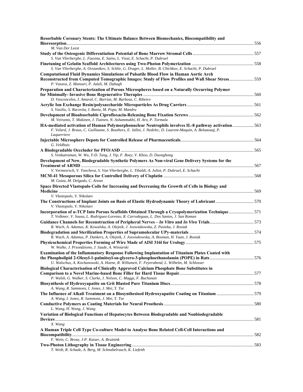| Resorbable Coronary Stents: The Ultimate Balance Between Biomechanics, Biocompatibility and                                                                                                                                                                                               |  |
|-------------------------------------------------------------------------------------------------------------------------------------------------------------------------------------------------------------------------------------------------------------------------------------------|--|
| M. Van Der Leest                                                                                                                                                                                                                                                                          |  |
| S. Van Vlierberghe, L. Fassina, E. Saino, L. Visai, E. Schacht, P. Dubruel                                                                                                                                                                                                                |  |
| S. Van Vlierberghe, A. Ovsianikov, S. Schlie, G. Drager, L. Moller, B. Chichkov, E. Schacht, P. Dubruel                                                                                                                                                                                   |  |
| <b>Computational Fluid Dynamics Simulations of Pulsatile Blood Flow in Human Aortic Arch</b>                                                                                                                                                                                              |  |
| Reconstructed from Computed Tomographic Images: Study of Flow Profiles and Wall Shear Stress559<br>P. Vasava, Z. Mansuri, P. Jalali, M. Dabagh                                                                                                                                            |  |
| Preparation and Characterization of Porous Microspheres based on a Naturally Occurring Polymer                                                                                                                                                                                            |  |
| D. Vasconcelos, I. Amaral, C. Barrias, M. Barbosa, C. Ribeiro<br>S. Vasiliu, S. Racovita, I. Bunia, M. Popa, M. Mandru                                                                                                                                                                    |  |
| M. Veiranto, T. Makinen, J. Tiainen, N. Ashammakhi, H. Aro, P. Tormala                                                                                                                                                                                                                    |  |
| HA-mediated activation of Human Polymorphonuclear Neutrophils involves IL-8 pathway activation563<br>F. Velard, J. Braux, C. Guillaume, S. Bouthors, E. Jallot, J. Nedelec, D. Laurent-Maquin, A. Belaaouaj, P.<br>Laquerriere                                                            |  |
| G. Veldhuis                                                                                                                                                                                                                                                                               |  |
|                                                                                                                                                                                                                                                                                           |  |
| S. Venkatraman, W. Wu, Y-D. Tang, J. Yip, F. Boey, V. Khoo, D. Duonghong                                                                                                                                                                                                                  |  |
| Development of New, Biodegradable Synthetic Polymers As Non-viral Gene Delivery Systems for the<br>V. Vermeersch, V. Toncheva, S. Van Vlierberghe, L. Tibaldi, A. Joliot, P. Dubruel, E. Schacht                                                                                          |  |
|                                                                                                                                                                                                                                                                                           |  |
| M. Guiza, M. Delgado, C. Arean                                                                                                                                                                                                                                                            |  |
| Space Directed Vlastopulo Coils for Increasing and Decreasing the Growth of Cells in Biology and<br>V. Vlastopulo, V. Nikolaev                                                                                                                                                            |  |
| The Constructions of Implant Joints on Basis of Elastic Hydrodynamic Theory of Lubricant570<br>V. Vlastopulo, V. Nikolaev                                                                                                                                                                 |  |
| Incorporation of a-TCP Into Porous Scaffolds Obtained Through a Cryopolymerization Technique 571<br>T. Volkmer, V. Sousa, L. Rodriguez-Lorenzo, R. Carrodeguas, L. Dos Santos, J. San Roman                                                                                               |  |
| R. Wach, A. Adamus, K. Kowalska, A. Olejnik, J. Jozwiakowska, Z. Pasieka, J. Rosiak                                                                                                                                                                                                       |  |
| R. Wach, A. Adamus, P. Dankers, A. Olejnik, J. Jozwiakowska, A. Bosman, H. Yuan, J. Rosiak                                                                                                                                                                                                |  |
| W. Walke, J. Przondziono, J. Szade, A. Winiarski                                                                                                                                                                                                                                          |  |
| Examination of the Inflammatory Response Following Implantation of Titanium Plates Coated with<br>the Phospholipid 2-Oleoyl-1-palmitoyl-sn-glycero-3-phosphoethanolamin (POPE) in Rats576<br>U. Walschus, A. Kochanowski, A. Hoene, R. Willumeit, F. Feyerabend, L. Wilhelm, M. Schlosser |  |
| Biological Characterisation of Clinically Approved Calcium Phosphate Bone Substitutes in                                                                                                                                                                                                  |  |
| P. Walsh, G. Walker, S. Clarke, J. Nelson, C. Maggs, F. Buchanan<br>A. Wang, R. Sammons, I. Jones, J. Mei, Y. Tse                                                                                                                                                                         |  |
| The Influence of Alkali Treatment on a Biosynthesised Hydroxyapatite Coating on Titanium 579<br>A. Wang, I. Jones, R. Sammons, J. Mei, Y. Tse                                                                                                                                             |  |
| L. Wang, H. Wang, J. Wang                                                                                                                                                                                                                                                                 |  |
| Variation of Biological Functions of Hepatocytes Between Biodegradable and Nonbiodegradable                                                                                                                                                                                               |  |
| X. Wang<br>A Human Triple Cell Type Co-culture Model to Analyse Bone Related Cell-Cell Interactions and                                                                                                                                                                                   |  |
| F. Wein, C. Brose, J-P. Kaiser, A. Bruinink                                                                                                                                                                                                                                               |  |
| T. Weib, R. Schade, A. Berg, M. Schnabelrauch, K. Liefeith                                                                                                                                                                                                                                |  |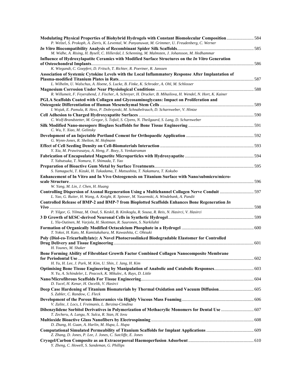| Modulating Physical Properties of Biohybrid Hydrogels with Constant Biomolecular Composition 584                                                                                                         |  |
|----------------------------------------------------------------------------------------------------------------------------------------------------------------------------------------------------------|--|
| P. Welzel, S. Prokoph, A. Zieris, K. Levental, W. Panyanuwat, M. Grimmer, U. Freudenberg, C. Werner                                                                                                      |  |
|                                                                                                                                                                                                          |  |
| M. Widhe, A. Rising, H. Bysell, C. Hillerdal, I. Schenning, M. Malmsten, J. Johansson, M. Hedhammar<br>Influence of Hydroxylapatite Ceramics with Modified Surface Structures on the In Vitro Generation |  |
|                                                                                                                                                                                                          |  |
| K. Wiegandt, C. Goepfert, D. Fritsch, T. Richter, R. Poertner, R. Janssen                                                                                                                                |  |
| Association of Systemic Cytokine Levels with the Local Inflammatory Response After Implantation of                                                                                                       |  |
|                                                                                                                                                                                                          |  |
| L. Wilhelm, U. Walschus, A. Hoene, S. Lucke, B. Finke, K. Schroder, A. Ohl, M. Schlosser                                                                                                                 |  |
|                                                                                                                                                                                                          |  |
| R. Willumeit, F. Feyerabend, J. Fischer, A. Schreyer, H. Drucker, B. Mihailova, H. Wendel, N. Hort, K. Kainer                                                                                            |  |
| PGLA Scaffolds Coated with Collagen and Glycosaminoglycans: Impact on Proliferation and                                                                                                                  |  |
|                                                                                                                                                                                                          |  |
| I. Wojak, E. Pamula, R. Hess, P. Dobrzynski, M. Schnabelrauch, D. Scharnweber, V. Hintze                                                                                                                 |  |
|                                                                                                                                                                                                          |  |
| C. Wolf-Brandstetter, M. Gregor, S. Tofail, S. Clyens, N. Theilgaard, S. Lang, D. Scharnweber                                                                                                            |  |
| C. Wu, Y. Xiao, M. Gelinsky                                                                                                                                                                              |  |
|                                                                                                                                                                                                          |  |
| G. Wynn-Jones, R. Shelton, M. Hofmann                                                                                                                                                                    |  |
|                                                                                                                                                                                                          |  |
| Y. Xia, M. Prawirasatya, A. Heng, F. Boey, S. Venkatraman                                                                                                                                                |  |
|                                                                                                                                                                                                          |  |
| T. Yabutsuka, T. Nomura, Y. Shimada, T. Yao                                                                                                                                                              |  |
| S. Yamaguchi, T. Kizuki, H. Takadama, T. Matsushita, T. Nakamura, T. Kokubo                                                                                                                              |  |
| Enhancement of In Vitro and In Vivo Osteogenesis on Titanium Surface with Nano/submicro/micro-                                                                                                           |  |
|                                                                                                                                                                                                          |  |
| W. Yang, M. Lin, J. Chen, H. Huang                                                                                                                                                                       |  |
| Controlling Dispersion of Axonal Regeneration Using a Multichannel Collagen Nerve Conduit 597                                                                                                            |  |
| L. Yao, G. Ruiter, H. Wang, A. Knight, R. Spinner, M. Yaszemski, A. Windebank, A. Pandit                                                                                                                 |  |
| Controlled Release of BMP-2 and BMP-7 from Bioplotted Scaffolds Enhances Bone Regeneration In                                                                                                            |  |
|                                                                                                                                                                                                          |  |
| P. Yilgor, G. Yilmaz, M. Onal, S. Keskil, B. Kinikoglu, R. Sousa, R. Reis, N. Hasirci, V. Hasirci                                                                                                        |  |
|                                                                                                                                                                                                          |  |
| L. Yla-Outinen, M. Varjola, H. Skottman, R. Suuronen, S. Narkilahti                                                                                                                                      |  |
|                                                                                                                                                                                                          |  |
| T. Yokoi, H. Kato, M. Kamitakahara, M. Kawashita, C. Ohtsuki                                                                                                                                             |  |
| Poly (Diol-co-Tricarballylate): A Novel Photocrosslinked Biodegradable Elastomer for Controlled                                                                                                          |  |
|                                                                                                                                                                                                          |  |
| H. Younes, M. Shaker                                                                                                                                                                                     |  |
| Bone Forming Ability of Fibroblast Growth Factor Combined Collagen Nanocomposite Membrane                                                                                                                |  |
| H. Yu, H. Lee, J. Park, M. Kim, U. Shin, J. Jang, H. Kim                                                                                                                                                 |  |
|                                                                                                                                                                                                          |  |
| N. Yu, A. Schindeler, L. Peacock, K. Mikulec, A. Ruys, D. Little                                                                                                                                         |  |
|                                                                                                                                                                                                          |  |
| D. Yucel, H. Kenar, H. Ozcelik, V. Hasirci                                                                                                                                                               |  |
| Deep Case Hardening of Titanium Biomaterials by Thermal Oxidation and Vacuum Diffusion 605                                                                                                               |  |
| S. Zabler, C. Randow, C. Fleck                                                                                                                                                                           |  |
|                                                                                                                                                                                                          |  |
| V. Zalite, J. Locs, I. Freimanis, L. Berzina-Cimdina                                                                                                                                                     |  |
| Dibenzylidene Sorbitol Derivatives in Polymerization of Methacrylic Monomers for Dental Use  607                                                                                                         |  |
| T. Zecheru, A. Lungu, N. Sulca, R. Stan, H. Iovu                                                                                                                                                         |  |
|                                                                                                                                                                                                          |  |
| D. Zhang, H. Guan, A. Harlin, M. Hupa, L. Hupa                                                                                                                                                           |  |
|                                                                                                                                                                                                          |  |
| Z. Zhang, D. Jones, P. Lee, J. Jones, C. Sutcliffe, E. Jones                                                                                                                                             |  |
| Y. Zheng, C. Howell, S. Sandeman, G. Phillips                                                                                                                                                            |  |
|                                                                                                                                                                                                          |  |